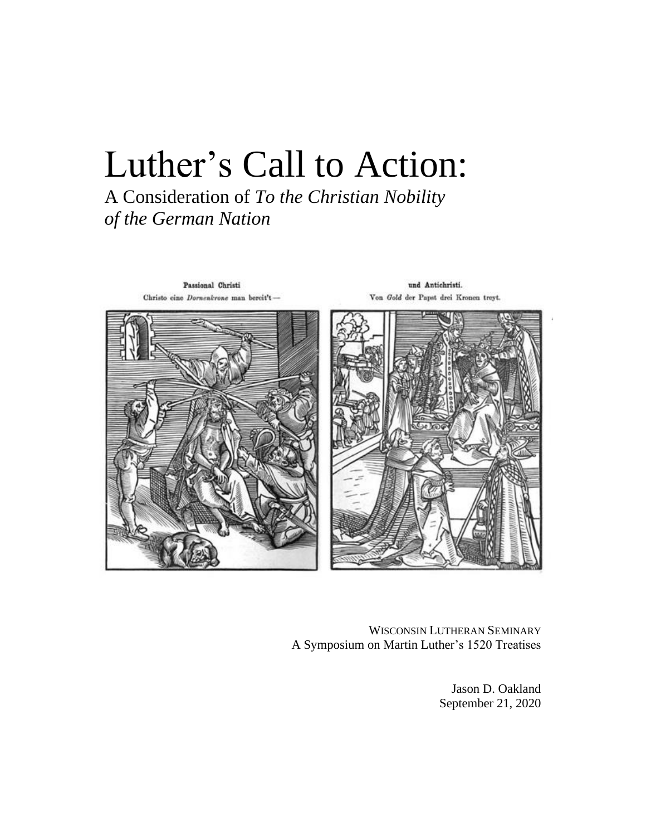# Luther's Call to Action:

A Consideration of *To the Christian Nobility of the German Nation*



WISCONSIN LUTHERAN SEMINARY A Symposium on Martin Luther's 1520 Treatises

> Jason D. Oakland September 21, 2020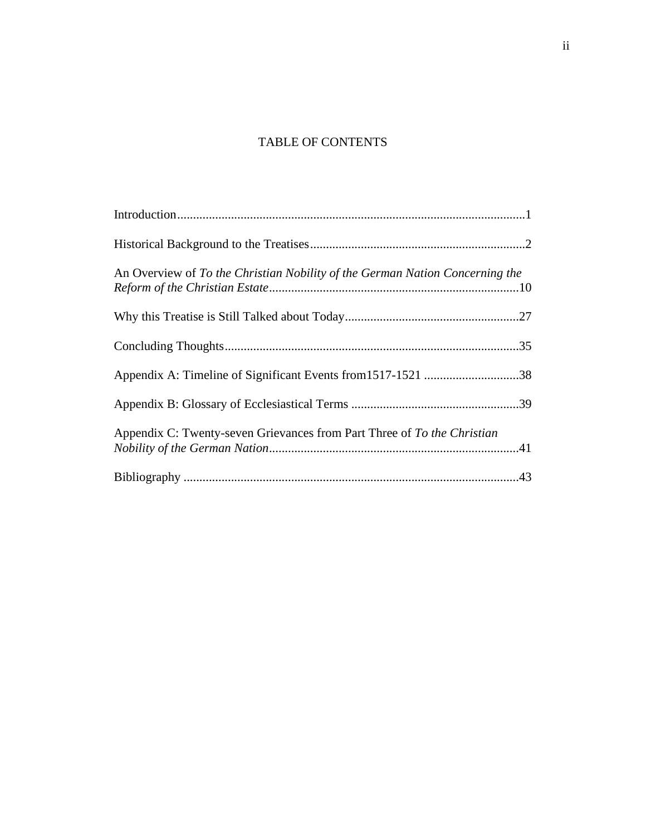## TABLE OF CONTENTS

| An Overview of To the Christian Nobility of the German Nation Concerning the |  |
|------------------------------------------------------------------------------|--|
|                                                                              |  |
|                                                                              |  |
|                                                                              |  |
|                                                                              |  |
| Appendix C: Twenty-seven Grievances from Part Three of To the Christian      |  |
|                                                                              |  |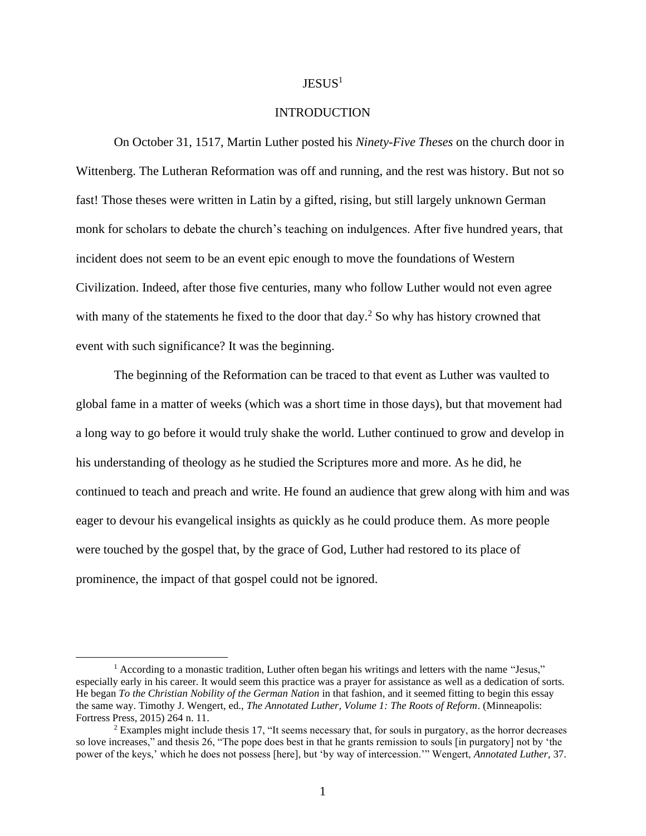## $JESUS<sup>1</sup>$

## INTRODUCTION

On October 31, 1517, Martin Luther posted his *Ninety-Five Theses* on the church door in Wittenberg. The Lutheran Reformation was off and running, and the rest was history. But not so fast! Those theses were written in Latin by a gifted, rising, but still largely unknown German monk for scholars to debate the church's teaching on indulgences. After five hundred years, that incident does not seem to be an event epic enough to move the foundations of Western Civilization. Indeed, after those five centuries, many who follow Luther would not even agree with many of the statements he fixed to the door that day.<sup>2</sup> So why has history crowned that event with such significance? It was the beginning.

The beginning of the Reformation can be traced to that event as Luther was vaulted to global fame in a matter of weeks (which was a short time in those days), but that movement had a long way to go before it would truly shake the world. Luther continued to grow and develop in his understanding of theology as he studied the Scriptures more and more. As he did, he continued to teach and preach and write. He found an audience that grew along with him and was eager to devour his evangelical insights as quickly as he could produce them. As more people were touched by the gospel that, by the grace of God, Luther had restored to its place of prominence, the impact of that gospel could not be ignored.

<sup>&</sup>lt;sup>1</sup> According to a monastic tradition, Luther often began his writings and letters with the name "Jesus," especially early in his career. It would seem this practice was a prayer for assistance as well as a dedication of sorts. He began *To the Christian Nobility of the German Nation* in that fashion, and it seemed fitting to begin this essay the same way. Timothy J. Wengert, ed., *The Annotated Luther, Volume 1: The Roots of Reform*. (Minneapolis: Fortress Press, 2015) 264 n. 11.

 $2$  Examples might include thesis 17, "It seems necessary that, for souls in purgatory, as the horror decreases so love increases," and thesis 26, "The pope does best in that he grants remission to souls [in purgatory] not by 'the power of the keys,' which he does not possess [here], but 'by way of intercession.'" Wengert, *Annotated Luther,* 37.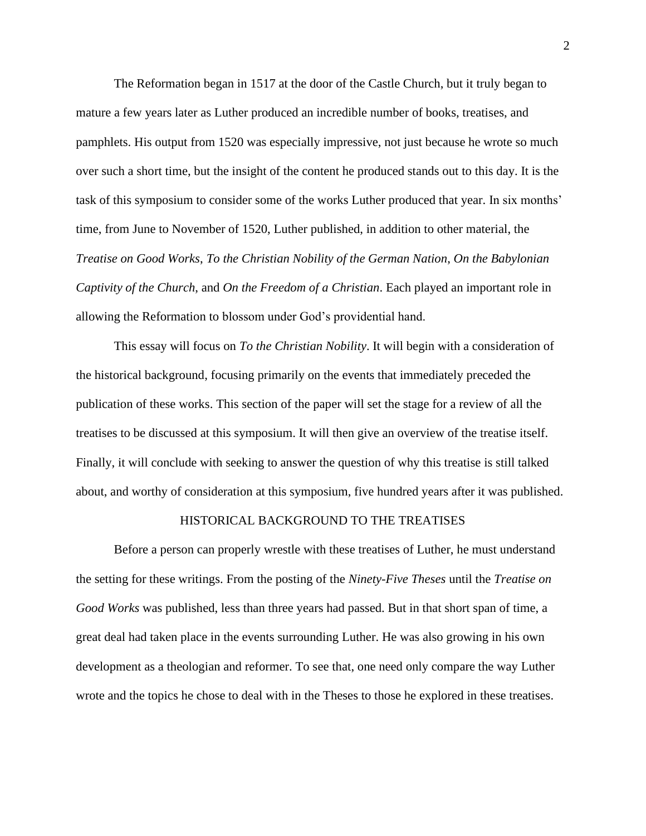The Reformation began in 1517 at the door of the Castle Church, but it truly began to mature a few years later as Luther produced an incredible number of books, treatises, and pamphlets. His output from 1520 was especially impressive, not just because he wrote so much over such a short time, but the insight of the content he produced stands out to this day. It is the task of this symposium to consider some of the works Luther produced that year. In six months' time, from June to November of 1520, Luther published, in addition to other material, the *Treatise on Good Works*, *To the Christian Nobility of the German Nation*, *On the Babylonian Captivity of the Church*, and *On the Freedom of a Christian*. Each played an important role in allowing the Reformation to blossom under God's providential hand.

This essay will focus on *To the Christian Nobility*. It will begin with a consideration of the historical background, focusing primarily on the events that immediately preceded the publication of these works. This section of the paper will set the stage for a review of all the treatises to be discussed at this symposium. It will then give an overview of the treatise itself. Finally, it will conclude with seeking to answer the question of why this treatise is still talked about, and worthy of consideration at this symposium, five hundred years after it was published.

#### HISTORICAL BACKGROUND TO THE TREATISES

Before a person can properly wrestle with these treatises of Luther, he must understand the setting for these writings. From the posting of the *Ninety-Five Theses* until the *Treatise on Good Works* was published, less than three years had passed. But in that short span of time, a great deal had taken place in the events surrounding Luther. He was also growing in his own development as a theologian and reformer. To see that, one need only compare the way Luther wrote and the topics he chose to deal with in the Theses to those he explored in these treatises.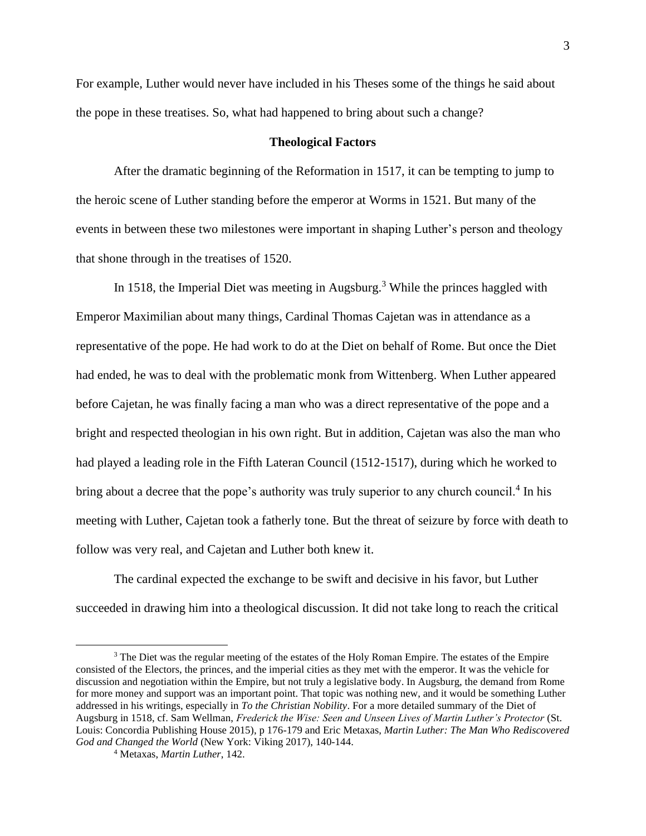For example, Luther would never have included in his Theses some of the things he said about the pope in these treatises. So, what had happened to bring about such a change?

#### **Theological Factors**

After the dramatic beginning of the Reformation in 1517, it can be tempting to jump to the heroic scene of Luther standing before the emperor at Worms in 1521. But many of the events in between these two milestones were important in shaping Luther's person and theology that shone through in the treatises of 1520.

In 1518, the Imperial Diet was meeting in Augsburg.<sup>3</sup> While the princes haggled with Emperor Maximilian about many things, Cardinal Thomas Cajetan was in attendance as a representative of the pope. He had work to do at the Diet on behalf of Rome. But once the Diet had ended, he was to deal with the problematic monk from Wittenberg. When Luther appeared before Cajetan, he was finally facing a man who was a direct representative of the pope and a bright and respected theologian in his own right. But in addition, Cajetan was also the man who had played a leading role in the Fifth Lateran Council (1512-1517), during which he worked to bring about a decree that the pope's authority was truly superior to any church council.<sup>4</sup> In his meeting with Luther, Cajetan took a fatherly tone. But the threat of seizure by force with death to follow was very real, and Cajetan and Luther both knew it.

The cardinal expected the exchange to be swift and decisive in his favor, but Luther succeeded in drawing him into a theological discussion. It did not take long to reach the critical

 $3$  The Diet was the regular meeting of the estates of the Holy Roman Empire. The estates of the Empire consisted of the Electors, the princes, and the imperial cities as they met with the emperor. It was the vehicle for discussion and negotiation within the Empire, but not truly a legislative body. In Augsburg, the demand from Rome for more money and support was an important point. That topic was nothing new, and it would be something Luther addressed in his writings, especially in *To the Christian Nobility*. For a more detailed summary of the Diet of Augsburg in 1518, cf. Sam Wellman, *Frederick the Wise: Seen and Unseen Lives of Martin Luther's Protector* (St. Louis: Concordia Publishing House 2015), p 176-179 and Eric Metaxas, *Martin Luther: The Man Who Rediscovered God and Changed the World* (New York: Viking 2017), 140-144.

<sup>4</sup> Metaxas, *Martin Luther*, 142.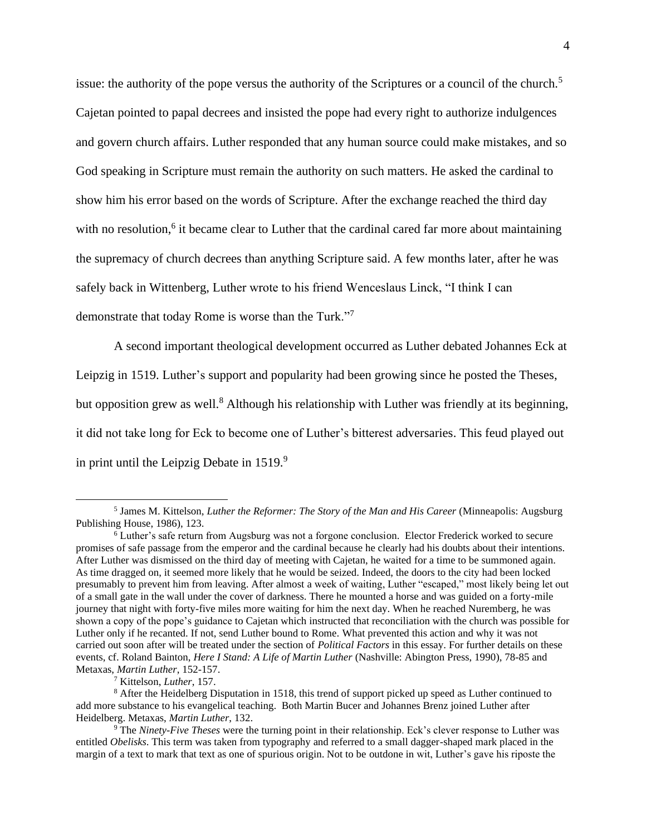issue: the authority of the pope versus the authority of the Scriptures or a council of the church.<sup>5</sup> Cajetan pointed to papal decrees and insisted the pope had every right to authorize indulgences and govern church affairs. Luther responded that any human source could make mistakes, and so God speaking in Scripture must remain the authority on such matters. He asked the cardinal to show him his error based on the words of Scripture. After the exchange reached the third day with no resolution,<sup>6</sup> it became clear to Luther that the cardinal cared far more about maintaining the supremacy of church decrees than anything Scripture said. A few months later, after he was safely back in Wittenberg, Luther wrote to his friend Wenceslaus Linck, "I think I can demonstrate that today Rome is worse than the Turk."<sup>7</sup>

A second important theological development occurred as Luther debated Johannes Eck at Leipzig in 1519. Luther's support and popularity had been growing since he posted the Theses, but opposition grew as well.<sup>8</sup> Although his relationship with Luther was friendly at its beginning, it did not take long for Eck to become one of Luther's bitterest adversaries. This feud played out in print until the Leipzig Debate in  $1519$ .<sup>9</sup>

<sup>7</sup> Kittelson, *Luther*, 157.

<sup>5</sup> James M. Kittelson, *Luther the Reformer: The Story of the Man and His Career* (Minneapolis: Augsburg Publishing House, 1986), 123.

<sup>6</sup> Luther's safe return from Augsburg was not a forgone conclusion. Elector Frederick worked to secure promises of safe passage from the emperor and the cardinal because he clearly had his doubts about their intentions. After Luther was dismissed on the third day of meeting with Cajetan, he waited for a time to be summoned again. As time dragged on, it seemed more likely that he would be seized. Indeed, the doors to the city had been locked presumably to prevent him from leaving. After almost a week of waiting, Luther "escaped," most likely being let out of a small gate in the wall under the cover of darkness. There he mounted a horse and was guided on a forty-mile journey that night with forty-five miles more waiting for him the next day. When he reached Nuremberg, he was shown a copy of the pope's guidance to Cajetan which instructed that reconciliation with the church was possible for Luther only if he recanted. If not, send Luther bound to Rome. What prevented this action and why it was not carried out soon after will be treated under the section of *Political Factors* in this essay. For further details on these events, cf. Roland Bainton, *Here I Stand: A Life of Martin Luther* (Nashville: Abington Press, 1990), 78-85 and Metaxas, *Martin Luther*, 152-157.

<sup>8</sup> After the Heidelberg Disputation in 1518, this trend of support picked up speed as Luther continued to add more substance to his evangelical teaching. Both Martin Bucer and Johannes Brenz joined Luther after Heidelberg. Metaxas, *Martin Luther*, 132.

<sup>9</sup> The *Ninety-Five Theses* were the turning point in their relationship. Eck's clever response to Luther was entitled *Obelisks*. This term was taken from typography and referred to a small dagger-shaped mark placed in the margin of a text to mark that text as one of spurious origin. Not to be outdone in wit, Luther's gave his riposte the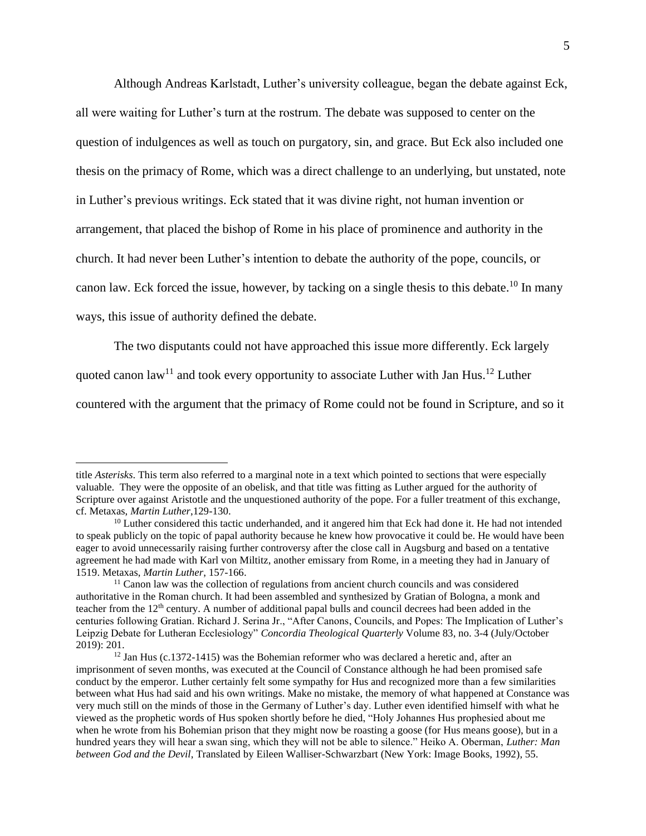Although Andreas Karlstadt, Luther's university colleague, began the debate against Eck, all were waiting for Luther's turn at the rostrum. The debate was supposed to center on the question of indulgences as well as touch on purgatory, sin, and grace. But Eck also included one thesis on the primacy of Rome, which was a direct challenge to an underlying, but unstated, note in Luther's previous writings. Eck stated that it was divine right, not human invention or arrangement, that placed the bishop of Rome in his place of prominence and authority in the church. It had never been Luther's intention to debate the authority of the pope, councils, or canon law. Eck forced the issue, however, by tacking on a single thesis to this debate.<sup>10</sup> In many ways, this issue of authority defined the debate.

The two disputants could not have approached this issue more differently. Eck largely

quoted canon law<sup>11</sup> and took every opportunity to associate Luther with Jan Hus.<sup>12</sup> Luther

countered with the argument that the primacy of Rome could not be found in Scripture, and so it

title *Asterisks*. This term also referred to a marginal note in a text which pointed to sections that were especially valuable. They were the opposite of an obelisk, and that title was fitting as Luther argued for the authority of Scripture over against Aristotle and the unquestioned authority of the pope. For a fuller treatment of this exchange, cf. Metaxas, *Martin Luther*,129-130.

<sup>&</sup>lt;sup>10</sup> Luther considered this tactic underhanded, and it angered him that Eck had done it. He had not intended to speak publicly on the topic of papal authority because he knew how provocative it could be. He would have been eager to avoid unnecessarily raising further controversy after the close call in Augsburg and based on a tentative agreement he had made with Karl von Miltitz, another emissary from Rome, in a meeting they had in January of 1519. Metaxas, *Martin Luther*, 157-166.

 $11$  Canon law was the collection of regulations from ancient church councils and was considered authoritative in the Roman church. It had been assembled and synthesized by Gratian of Bologna, a monk and teacher from the 12<sup>th</sup> century. A number of additional papal bulls and council decrees had been added in the centuries following Gratian. Richard J. Serina Jr., "After Canons, Councils, and Popes: The Implication of Luther's Leipzig Debate for Lutheran Ecclesiology" *Concordia Theological Quarterly* Volume 83, no. 3-4 (July/October 2019): 201.

<sup>&</sup>lt;sup>12</sup> Jan Hus (c.1372-1415) was the Bohemian reformer who was declared a heretic and, after an imprisonment of seven months, was executed at the Council of Constance although he had been promised safe conduct by the emperor. Luther certainly felt some sympathy for Hus and recognized more than a few similarities between what Hus had said and his own writings. Make no mistake, the memory of what happened at Constance was very much still on the minds of those in the Germany of Luther's day. Luther even identified himself with what he viewed as the prophetic words of Hus spoken shortly before he died, "Holy Johannes Hus prophesied about me when he wrote from his Bohemian prison that they might now be roasting a goose (for Hus means goose), but in a hundred years they will hear a swan sing, which they will not be able to silence." Heiko A. Oberman, *Luther: Man between God and the Devil*, Translated by Eileen Walliser-Schwarzbart (New York: Image Books, 1992), 55.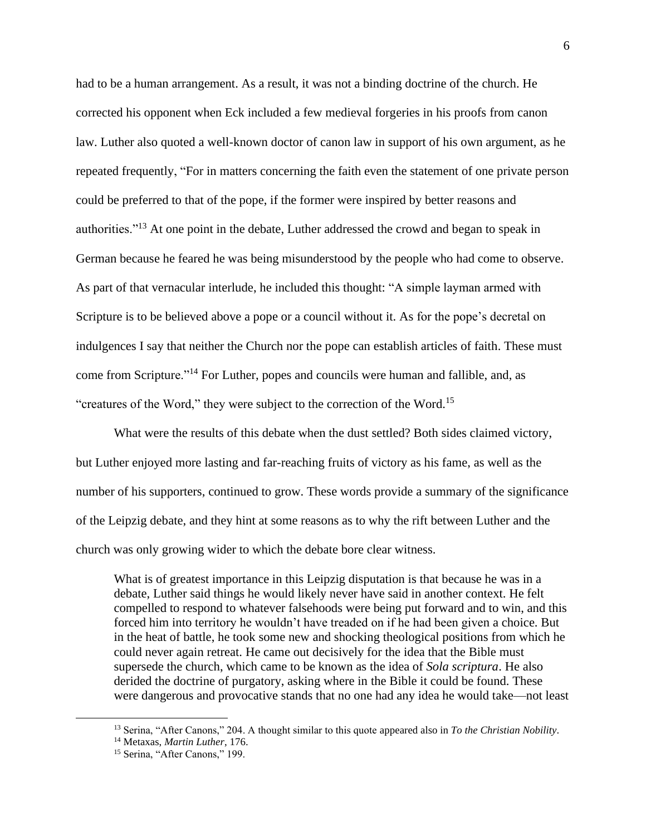had to be a human arrangement. As a result, it was not a binding doctrine of the church. He corrected his opponent when Eck included a few medieval forgeries in his proofs from canon law. Luther also quoted a well-known doctor of canon law in support of his own argument, as he repeated frequently, "For in matters concerning the faith even the statement of one private person could be preferred to that of the pope, if the former were inspired by better reasons and authorities."<sup>13</sup> At one point in the debate, Luther addressed the crowd and began to speak in German because he feared he was being misunderstood by the people who had come to observe. As part of that vernacular interlude, he included this thought: "A simple layman armed with Scripture is to be believed above a pope or a council without it. As for the pope's decretal on indulgences I say that neither the Church nor the pope can establish articles of faith. These must come from Scripture."<sup>14</sup> For Luther, popes and councils were human and fallible, and, as "creatures of the Word," they were subject to the correction of the Word.<sup>15</sup>

What were the results of this debate when the dust settled? Both sides claimed victory, but Luther enjoyed more lasting and far-reaching fruits of victory as his fame, as well as the number of his supporters, continued to grow. These words provide a summary of the significance of the Leipzig debate, and they hint at some reasons as to why the rift between Luther and the church was only growing wider to which the debate bore clear witness.

What is of greatest importance in this Leipzig disputation is that because he was in a debate, Luther said things he would likely never have said in another context. He felt compelled to respond to whatever falsehoods were being put forward and to win, and this forced him into territory he wouldn't have treaded on if he had been given a choice. But in the heat of battle, he took some new and shocking theological positions from which he could never again retreat. He came out decisively for the idea that the Bible must supersede the church, which came to be known as the idea of *Sola scriptura*. He also derided the doctrine of purgatory, asking where in the Bible it could be found. These were dangerous and provocative stands that no one had any idea he would take—not least

<sup>13</sup> Serina, "After Canons," 204. A thought similar to this quote appeared also in *To the Christian Nobility*.

<sup>14</sup> Metaxas, *Martin Luther*, 176.

<sup>&</sup>lt;sup>15</sup> Serina, "After Canons," 199.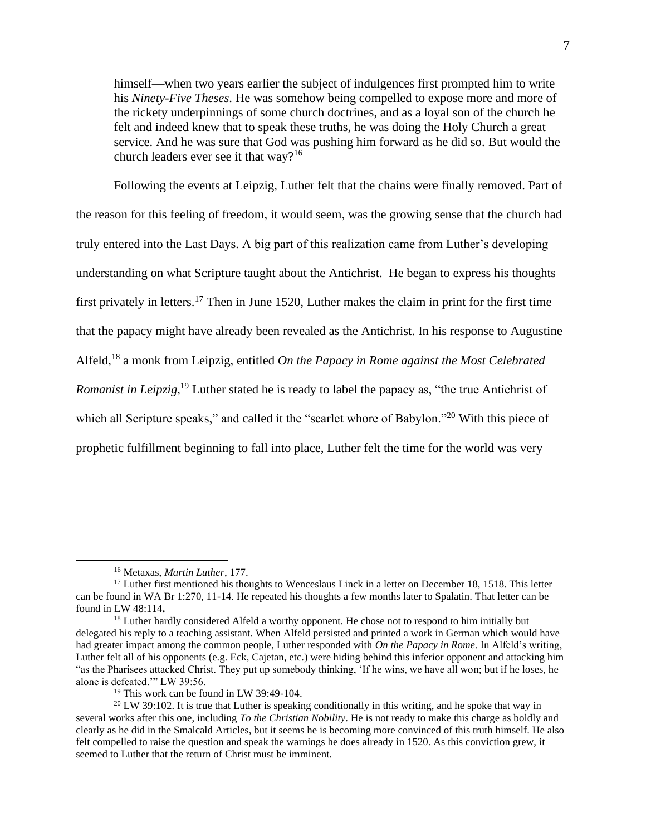himself—when two years earlier the subject of indulgences first prompted him to write his *Ninety-Five Theses*. He was somehow being compelled to expose more and more of the rickety underpinnings of some church doctrines, and as a loyal son of the church he felt and indeed knew that to speak these truths, he was doing the Holy Church a great service. And he was sure that God was pushing him forward as he did so. But would the church leaders ever see it that way?<sup>16</sup>

Following the events at Leipzig, Luther felt that the chains were finally removed. Part of the reason for this feeling of freedom, it would seem, was the growing sense that the church had truly entered into the Last Days. A big part of this realization came from Luther's developing understanding on what Scripture taught about the Antichrist. He began to express his thoughts first privately in letters.<sup>17</sup> Then in June 1520, Luther makes the claim in print for the first time that the papacy might have already been revealed as the Antichrist. In his response to Augustine Alfeld,<sup>18</sup> a monk from Leipzig, entitled *On the Papacy in Rome against the Most Celebrated Romanist in Leipzig*, <sup>19</sup> Luther stated he is ready to label the papacy as, "the true Antichrist of which all Scripture speaks," and called it the "scarlet whore of Babylon."<sup>20</sup> With this piece of prophetic fulfillment beginning to fall into place, Luther felt the time for the world was very

<sup>16</sup> Metaxas, *Martin Luther*, 177.

<sup>&</sup>lt;sup>17</sup> Luther first mentioned his thoughts to Wenceslaus Linck in a letter on December 18, 1518. This letter can be found in WA Br 1:270, 11-14. He repeated his thoughts a few months later to Spalatin. That letter can be found in LW 48:114**.**

<sup>&</sup>lt;sup>18</sup> Luther hardly considered Alfeld a worthy opponent. He chose not to respond to him initially but delegated his reply to a teaching assistant. When Alfeld persisted and printed a work in German which would have had greater impact among the common people, Luther responded with *On the Papacy in Rome*. In Alfeld's writing, Luther felt all of his opponents (e.g. Eck, Cajetan, etc.) were hiding behind this inferior opponent and attacking him "as the Pharisees attacked Christ. They put up somebody thinking, 'If he wins, we have all won; but if he loses, he alone is defeated.'" LW 39:56.

<sup>&</sup>lt;sup>19</sup> This work can be found in LW 39:49-104.

 $20 \text{ LW } 39:102$ . It is true that Luther is speaking conditionally in this writing, and he spoke that way in several works after this one, including *To the Christian Nobility*. He is not ready to make this charge as boldly and clearly as he did in the Smalcald Articles, but it seems he is becoming more convinced of this truth himself. He also felt compelled to raise the question and speak the warnings he does already in 1520. As this conviction grew, it seemed to Luther that the return of Christ must be imminent.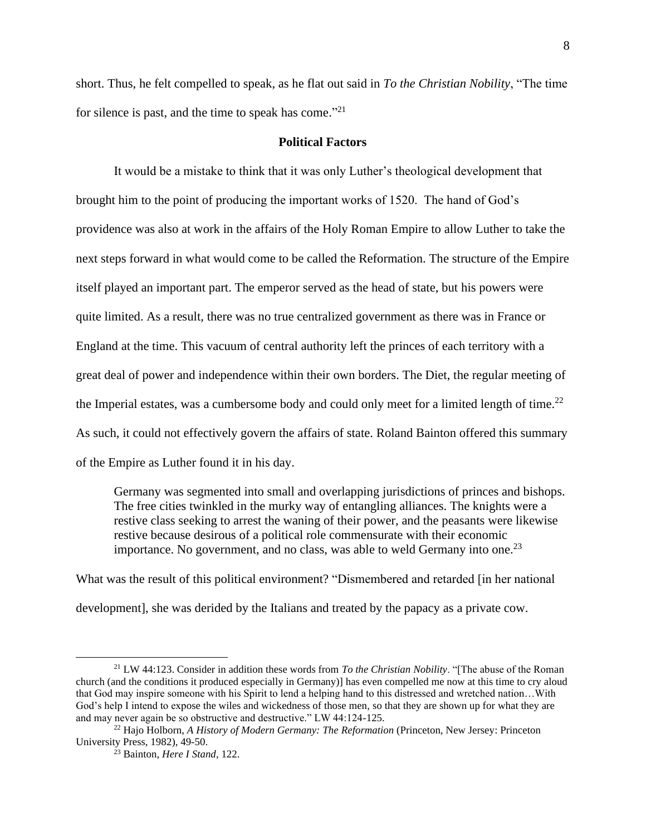short. Thus, he felt compelled to speak, as he flat out said in *To the Christian Nobility*, "The time for silence is past, and the time to speak has come."<sup>21</sup>

### **Political Factors**

It would be a mistake to think that it was only Luther's theological development that brought him to the point of producing the important works of 1520. The hand of God's providence was also at work in the affairs of the Holy Roman Empire to allow Luther to take the next steps forward in what would come to be called the Reformation. The structure of the Empire itself played an important part. The emperor served as the head of state, but his powers were quite limited. As a result, there was no true centralized government as there was in France or England at the time. This vacuum of central authority left the princes of each territory with a great deal of power and independence within their own borders. The Diet, the regular meeting of the Imperial estates, was a cumbersome body and could only meet for a limited length of time.<sup>22</sup> As such, it could not effectively govern the affairs of state. Roland Bainton offered this summary of the Empire as Luther found it in his day.

Germany was segmented into small and overlapping jurisdictions of princes and bishops. The free cities twinkled in the murky way of entangling alliances. The knights were a restive class seeking to arrest the waning of their power, and the peasants were likewise restive because desirous of a political role commensurate with their economic importance. No government, and no class, was able to weld Germany into one.<sup>23</sup>

What was the result of this political environment? "Dismembered and retarded [in her national development], she was derided by the Italians and treated by the papacy as a private cow.

<sup>21</sup> LW 44:123. Consider in addition these words from *To the Christian Nobility*. "[The abuse of the Roman church (and the conditions it produced especially in Germany)] has even compelled me now at this time to cry aloud that God may inspire someone with his Spirit to lend a helping hand to this distressed and wretched nation…With God's help I intend to expose the wiles and wickedness of those men, so that they are shown up for what they are and may never again be so obstructive and destructive." LW 44:124-125.

<sup>22</sup> Hajo Holborn, *A History of Modern Germany: The Reformation* (Princeton, New Jersey: Princeton University Press, 1982), 49-50.

<sup>23</sup> Bainton, *Here I Stand*, 122.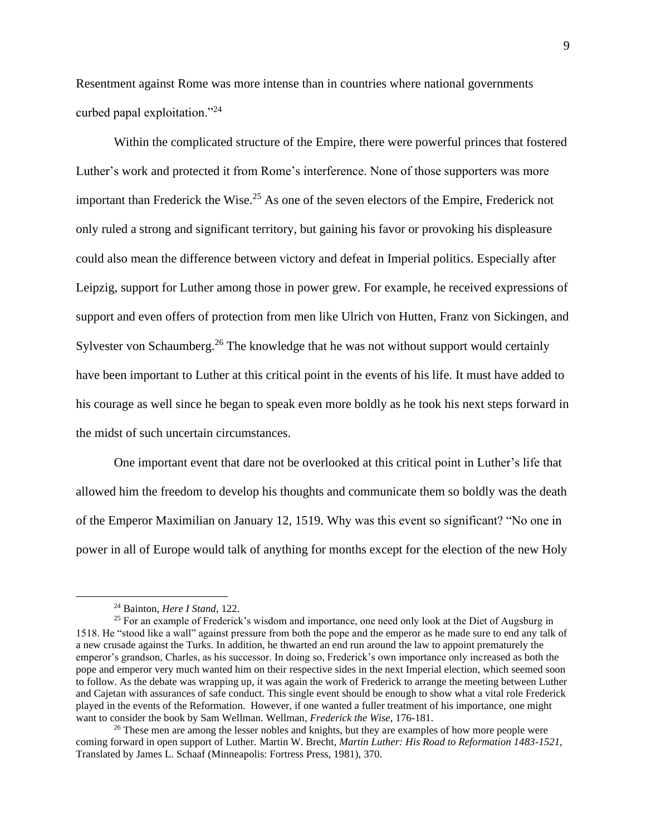Resentment against Rome was more intense than in countries where national governments curbed papal exploitation."<sup>24</sup>

Within the complicated structure of the Empire, there were powerful princes that fostered Luther's work and protected it from Rome's interference. None of those supporters was more important than Frederick the Wise.<sup>25</sup> As one of the seven electors of the Empire, Frederick not only ruled a strong and significant territory, but gaining his favor or provoking his displeasure could also mean the difference between victory and defeat in Imperial politics. Especially after Leipzig, support for Luther among those in power grew. For example, he received expressions of support and even offers of protection from men like Ulrich von Hutten, Franz von Sickingen, and Sylvester von Schaumberg.<sup>26</sup> The knowledge that he was not without support would certainly have been important to Luther at this critical point in the events of his life. It must have added to his courage as well since he began to speak even more boldly as he took his next steps forward in the midst of such uncertain circumstances.

One important event that dare not be overlooked at this critical point in Luther's life that allowed him the freedom to develop his thoughts and communicate them so boldly was the death of the Emperor Maximilian on January 12, 1519. Why was this event so significant? "No one in power in all of Europe would talk of anything for months except for the election of the new Holy

<sup>24</sup> Bainton, *Here I Stand*, 122.

<sup>&</sup>lt;sup>25</sup> For an example of Frederick's wisdom and importance, one need only look at the Diet of Augsburg in 1518. He "stood like a wall" against pressure from both the pope and the emperor as he made sure to end any talk of a new crusade against the Turks. In addition, he thwarted an end run around the law to appoint prematurely the emperor's grandson, Charles, as his successor. In doing so, Frederick's own importance only increased as both the pope and emperor very much wanted him on their respective sides in the next Imperial election, which seemed soon to follow. As the debate was wrapping up, it was again the work of Frederick to arrange the meeting between Luther and Cajetan with assurances of safe conduct. This single event should be enough to show what a vital role Frederick played in the events of the Reformation. However, if one wanted a fuller treatment of his importance, one might want to consider the book by Sam Wellman. Wellman, *Frederick the Wise*, 176-181.

<sup>&</sup>lt;sup>26</sup> These men are among the lesser nobles and knights, but they are examples of how more people were coming forward in open support of Luther. Martin W. Brecht, *Martin Luther: His Road to Reformation 1483-1521*, Translated by James L. Schaaf (Minneapolis: Fortress Press, 1981), 370.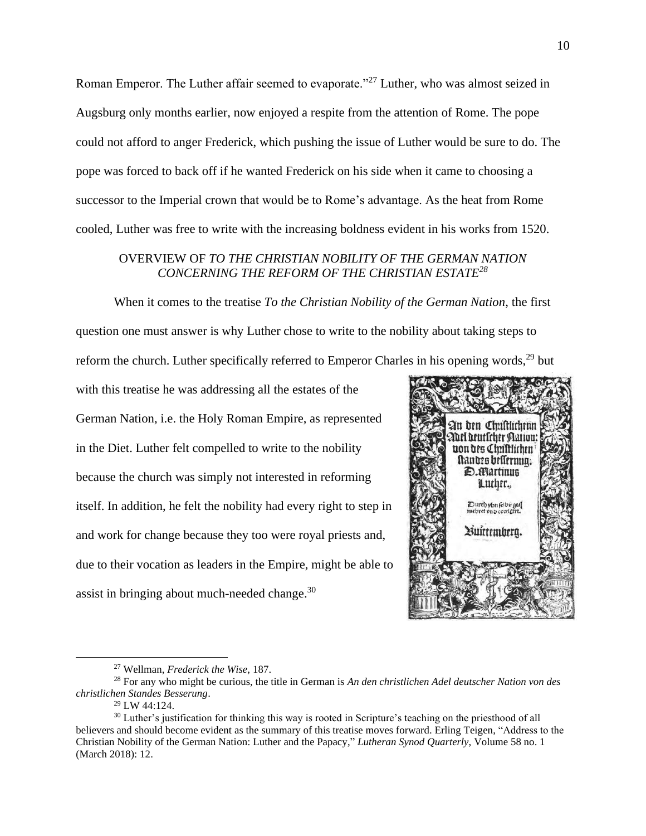Roman Emperor. The Luther affair seemed to evaporate."<sup>27</sup> Luther, who was almost seized in Augsburg only months earlier, now enjoyed a respite from the attention of Rome. The pope could not afford to anger Frederick, which pushing the issue of Luther would be sure to do. The pope was forced to back off if he wanted Frederick on his side when it came to choosing a successor to the Imperial crown that would be to Rome's advantage. As the heat from Rome cooled, Luther was free to write with the increasing boldness evident in his works from 1520.

## OVERVIEW OF *TO THE CHRISTIAN NOBILITY OF THE GERMAN NATION CONCERNING THE REFORM OF THE CHRISTIAN ESTATE<sup>28</sup>*

When it comes to the treatise *To the Christian Nobility of the German Nation*, the first question one must answer is why Luther chose to write to the nobility about taking steps to reform the church. Luther specifically referred to Emperor Charles in his opening words,<sup>29</sup> but

with this treatise he was addressing all the estates of the German Nation, i.e. the Holy Roman Empire, as represented in the Diet. Luther felt compelled to write to the nobility because the church was simply not interested in reforming itself. In addition, he felt the nobility had every right to step in and work for change because they too were royal priests and, due to their vocation as leaders in the Empire, might be able to assist in bringing about much-needed change.<sup>30</sup>



<sup>27</sup> Wellman, *Frederick the Wise*, 187.

<sup>28</sup> For any who might be curious, the title in German is *An den christlichen Adel deutscher Nation von des christlichen Standes Besserung*.

<sup>29</sup> LW 44:124.

<sup>&</sup>lt;sup>30</sup> Luther's justification for thinking this way is rooted in Scripture's teaching on the priesthood of all believers and should become evident as the summary of this treatise moves forward. Erling Teigen, "Address to the Christian Nobility of the German Nation: Luther and the Papacy," *Lutheran Synod Quarterly*, Volume 58 no. 1 (March 2018): 12.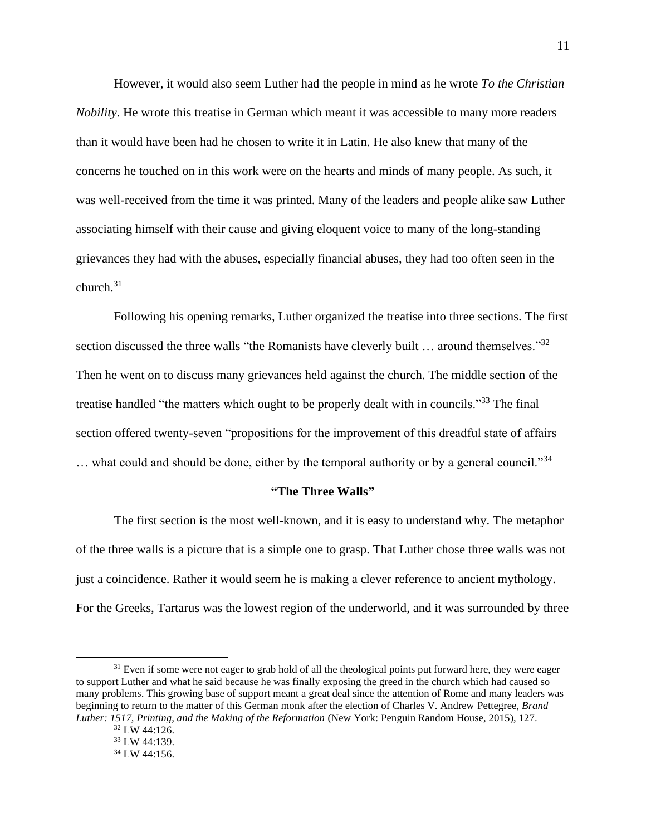However, it would also seem Luther had the people in mind as he wrote *To the Christian Nobility*. He wrote this treatise in German which meant it was accessible to many more readers than it would have been had he chosen to write it in Latin. He also knew that many of the concerns he touched on in this work were on the hearts and minds of many people. As such, it was well-received from the time it was printed. Many of the leaders and people alike saw Luther associating himself with their cause and giving eloquent voice to many of the long-standing grievances they had with the abuses, especially financial abuses, they had too often seen in the church. $31$ 

Following his opening remarks, Luther organized the treatise into three sections. The first section discussed the three walls "the Romanists have cleverly built ... around themselves."<sup>32</sup> Then he went on to discuss many grievances held against the church. The middle section of the treatise handled "the matters which ought to be properly dealt with in councils."<sup>33</sup> The final section offered twenty-seven "propositions for the improvement of this dreadful state of affairs ... what could and should be done, either by the temporal authority or by a general council."<sup>34</sup>

### **"The Three Walls"**

The first section is the most well-known, and it is easy to understand why. The metaphor of the three walls is a picture that is a simple one to grasp. That Luther chose three walls was not just a coincidence. Rather it would seem he is making a clever reference to ancient mythology. For the Greeks, Tartarus was the lowest region of the underworld, and it was surrounded by three

<sup>&</sup>lt;sup>31</sup> Even if some were not eager to grab hold of all the theological points put forward here, they were eager to support Luther and what he said because he was finally exposing the greed in the church which had caused so many problems. This growing base of support meant a great deal since the attention of Rome and many leaders was beginning to return to the matter of this German monk after the election of Charles V. Andrew Pettegree, *Brand Luther: 1517, Printing, and the Making of the Reformation* (New York: Penguin Random House, 2015), 127.

<sup>32</sup> LW 44:126.

<sup>33</sup> LW 44:139.

<sup>34</sup> LW 44:156.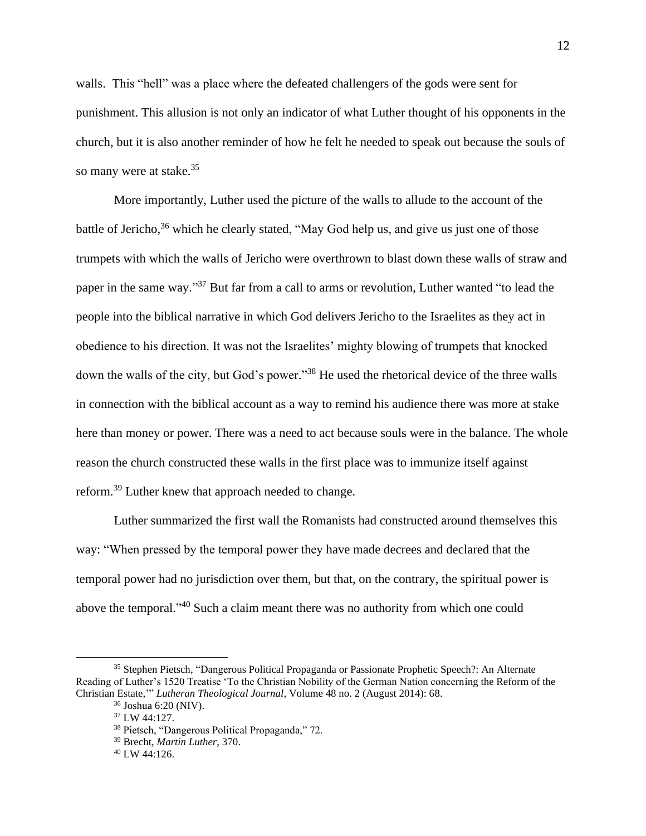walls. This "hell" was a place where the defeated challengers of the gods were sent for punishment. This allusion is not only an indicator of what Luther thought of his opponents in the church, but it is also another reminder of how he felt he needed to speak out because the souls of so many were at stake.<sup>35</sup>

More importantly, Luther used the picture of the walls to allude to the account of the battle of Jericho,<sup>36</sup> which he clearly stated, "May God help us, and give us just one of those trumpets with which the walls of Jericho were overthrown to blast down these walls of straw and paper in the same way."<sup>37</sup> But far from a call to arms or revolution, Luther wanted "to lead the people into the biblical narrative in which God delivers Jericho to the Israelites as they act in obedience to his direction. It was not the Israelites' mighty blowing of trumpets that knocked down the walls of the city, but God's power."<sup>38</sup> He used the rhetorical device of the three walls in connection with the biblical account as a way to remind his audience there was more at stake here than money or power. There was a need to act because souls were in the balance. The whole reason the church constructed these walls in the first place was to immunize itself against reform.<sup>39</sup> Luther knew that approach needed to change.

Luther summarized the first wall the Romanists had constructed around themselves this way: "When pressed by the temporal power they have made decrees and declared that the temporal power had no jurisdiction over them, but that, on the contrary, the spiritual power is above the temporal."<sup>40</sup> Such a claim meant there was no authority from which one could

<sup>35</sup> Stephen Pietsch, "Dangerous Political Propaganda or Passionate Prophetic Speech?: An Alternate Reading of Luther's 1520 Treatise 'To the Christian Nobility of the German Nation concerning the Reform of the Christian Estate,'" *Lutheran Theological Journal*, Volume 48 no. 2 (August 2014): 68. <sup>36</sup> Joshua 6:20 (NIV).

<sup>37</sup> LW 44:127.

<sup>38</sup> Pietsch, "Dangerous Political Propaganda," 72.

<sup>39</sup> Brecht, *Martin Luther*, 370.

<sup>40</sup> LW 44:126.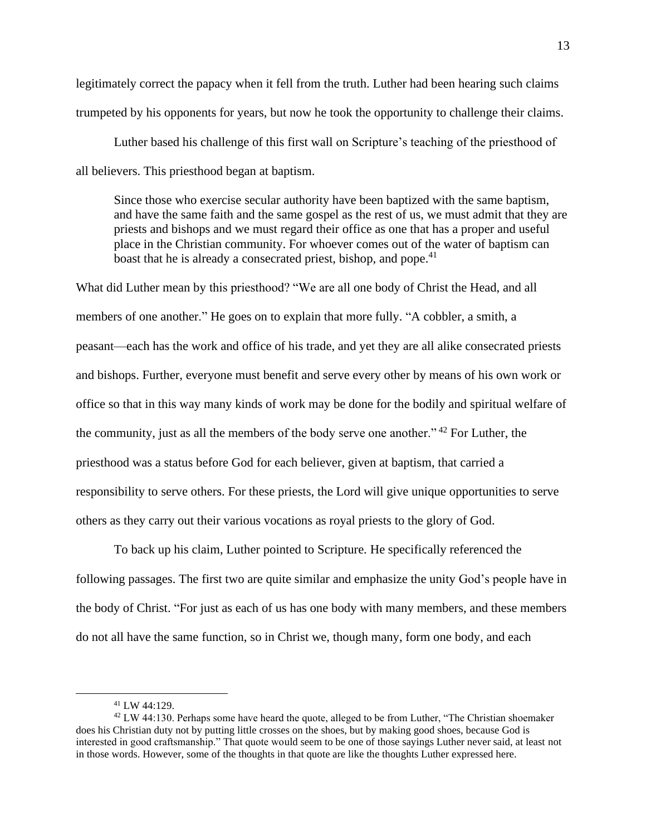legitimately correct the papacy when it fell from the truth. Luther had been hearing such claims trumpeted by his opponents for years, but now he took the opportunity to challenge their claims.

Luther based his challenge of this first wall on Scripture's teaching of the priesthood of all believers. This priesthood began at baptism.

Since those who exercise secular authority have been baptized with the same baptism, and have the same faith and the same gospel as the rest of us, we must admit that they are priests and bishops and we must regard their office as one that has a proper and useful place in the Christian community. For whoever comes out of the water of baptism can boast that he is already a consecrated priest, bishop, and pope.<sup>41</sup>

What did Luther mean by this priesthood? "We are all one body of Christ the Head, and all members of one another." He goes on to explain that more fully. "A cobbler, a smith, a peasant—each has the work and office of his trade, and yet they are all alike consecrated priests and bishops. Further, everyone must benefit and serve every other by means of his own work or office so that in this way many kinds of work may be done for the bodily and spiritual welfare of the community, just as all the members of the body serve one another." <sup>42</sup> For Luther, the priesthood was a status before God for each believer, given at baptism, that carried a responsibility to serve others. For these priests, the Lord will give unique opportunities to serve others as they carry out their various vocations as royal priests to the glory of God.

To back up his claim, Luther pointed to Scripture. He specifically referenced the following passages. The first two are quite similar and emphasize the unity God's people have in the body of Christ. "For just as each of us has one body with many members, and these members do not all have the same function, so in Christ we, though many, form one body, and each

<sup>41</sup> LW 44:129.

 $42 \text{ LW } 44:130$ . Perhaps some have heard the quote, alleged to be from Luther, "The Christian shoemaker" does his Christian duty not by putting little crosses on the shoes, but by making good shoes, because God is interested in good craftsmanship." That quote would seem to be one of those sayings Luther never said, at least not in those words. However, some of the thoughts in that quote are like the thoughts Luther expressed here.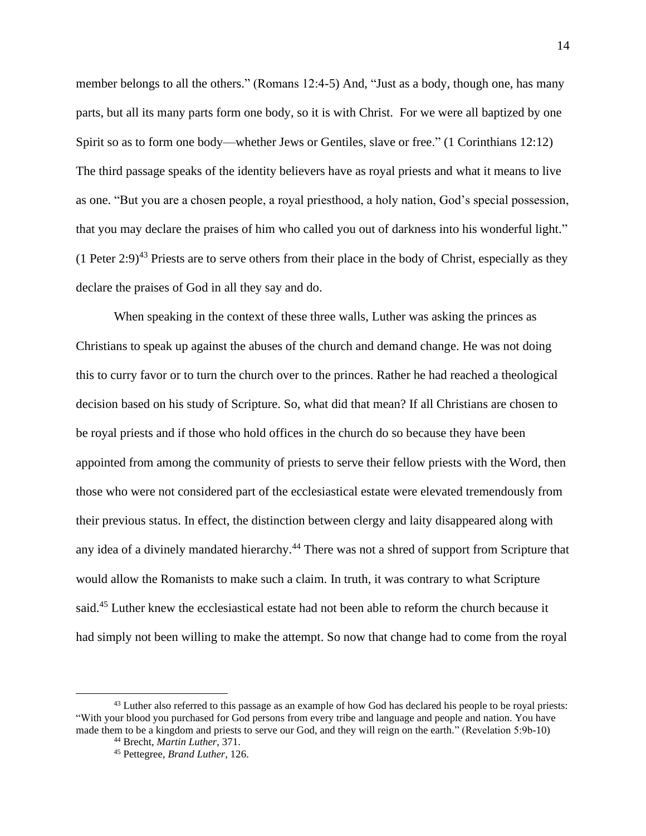member belongs to all the others." (Romans 12:4-5) And, "Just as a body, though one, has many parts, but all its many parts form one body, so it is with Christ. For we were all baptized by one Spirit so as to form one body—whether Jews or Gentiles, slave or free." (1 Corinthians 12:12) The third passage speaks of the identity believers have as royal priests and what it means to live as one. "But you are a chosen people, a royal priesthood, a holy nation, God's special possession, that you may declare the praises of him who called you out of darkness into his wonderful light." (1 Peter 2:9)<sup>43</sup> Priests are to serve others from their place in the body of Christ, especially as they declare the praises of God in all they say and do.

When speaking in the context of these three walls, Luther was asking the princes as Christians to speak up against the abuses of the church and demand change. He was not doing this to curry favor or to turn the church over to the princes. Rather he had reached a theological decision based on his study of Scripture. So, what did that mean? If all Christians are chosen to be royal priests and if those who hold offices in the church do so because they have been appointed from among the community of priests to serve their fellow priests with the Word, then those who were not considered part of the ecclesiastical estate were elevated tremendously from their previous status. In effect, the distinction between clergy and laity disappeared along with any idea of a divinely mandated hierarchy.<sup>44</sup> There was not a shred of support from Scripture that would allow the Romanists to make such a claim. In truth, it was contrary to what Scripture said.<sup>45</sup> Luther knew the ecclesiastical estate had not been able to reform the church because it had simply not been willing to make the attempt. So now that change had to come from the royal

<sup>&</sup>lt;sup>43</sup> Luther also referred to this passage as an example of how God has declared his people to be royal priests: "With your blood you purchased for God persons from every tribe and language and people and nation. You have made them to be a kingdom and priests to serve our God, and they will reign on the earth." (Revelation 5:9b-10)

<sup>44</sup> Brecht, *Martin Luther*, 371.

<sup>45</sup> Pettegree, *Brand Luther*, 126.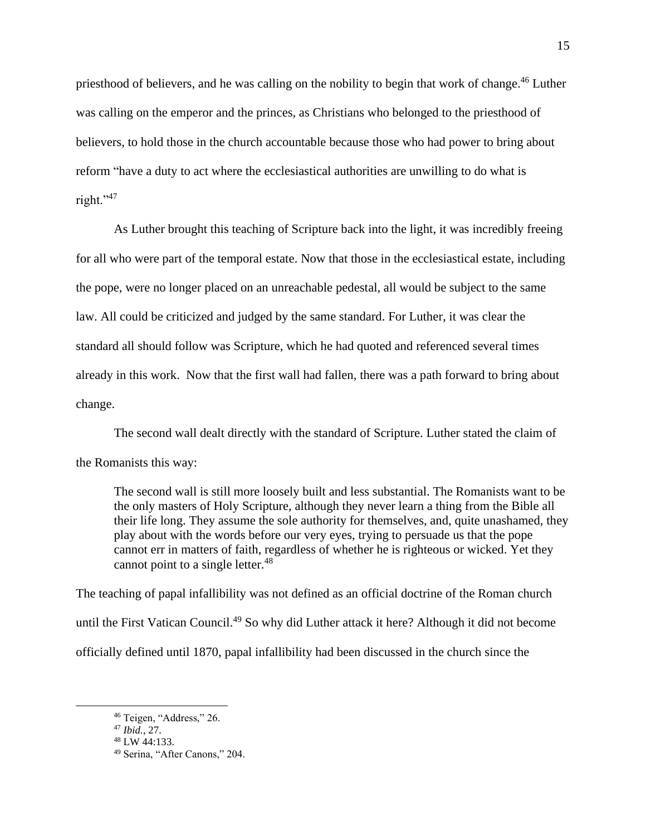priesthood of believers, and he was calling on the nobility to begin that work of change.<sup>46</sup> Luther was calling on the emperor and the princes, as Christians who belonged to the priesthood of believers, to hold those in the church accountable because those who had power to bring about reform "have a duty to act where the ecclesiastical authorities are unwilling to do what is right."<sup>47</sup>

As Luther brought this teaching of Scripture back into the light, it was incredibly freeing for all who were part of the temporal estate. Now that those in the ecclesiastical estate, including the pope, were no longer placed on an unreachable pedestal, all would be subject to the same law. All could be criticized and judged by the same standard. For Luther, it was clear the standard all should follow was Scripture, which he had quoted and referenced several times already in this work. Now that the first wall had fallen, there was a path forward to bring about change.

The second wall dealt directly with the standard of Scripture. Luther stated the claim of the Romanists this way:

The second wall is still more loosely built and less substantial. The Romanists want to be the only masters of Holy Scripture, although they never learn a thing from the Bible all their life long. They assume the sole authority for themselves, and, quite unashamed, they play about with the words before our very eyes, trying to persuade us that the pope cannot err in matters of faith, regardless of whether he is righteous or wicked. Yet they cannot point to a single letter.<sup>48</sup>

The teaching of papal infallibility was not defined as an official doctrine of the Roman church until the First Vatican Council.<sup>49</sup> So why did Luther attack it here? Although it did not become officially defined until 1870, papal infallibility had been discussed in the church since the

<sup>46</sup> Teigen, "Address," 26.

<sup>47</sup> *Ibid.*, 27.

<sup>48</sup> LW 44:133.

<sup>49</sup> Serina, "After Canons," 204.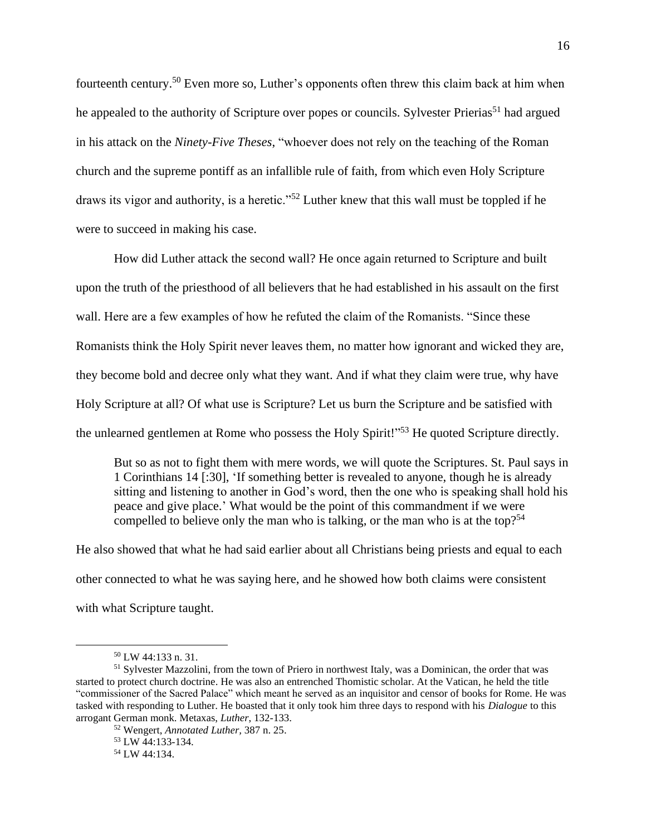fourteenth century.<sup>50</sup> Even more so, Luther's opponents often threw this claim back at him when he appealed to the authority of Scripture over popes or councils. Sylvester Prierias<sup>51</sup> had argued in his attack on the *Ninety-Five Theses*, "whoever does not rely on the teaching of the Roman church and the supreme pontiff as an infallible rule of faith, from which even Holy Scripture draws its vigor and authority, is a heretic."<sup>52</sup> Luther knew that this wall must be toppled if he were to succeed in making his case.

How did Luther attack the second wall? He once again returned to Scripture and built upon the truth of the priesthood of all believers that he had established in his assault on the first wall. Here are a few examples of how he refuted the claim of the Romanists. "Since these Romanists think the Holy Spirit never leaves them, no matter how ignorant and wicked they are, they become bold and decree only what they want. And if what they claim were true, why have Holy Scripture at all? Of what use is Scripture? Let us burn the Scripture and be satisfied with the unlearned gentlemen at Rome who possess the Holy Spirit!"<sup>53</sup> He quoted Scripture directly.

But so as not to fight them with mere words, we will quote the Scriptures. St. Paul says in 1 Corinthians 14 [:30], 'If something better is revealed to anyone, though he is already sitting and listening to another in God's word, then the one who is speaking shall hold his peace and give place.' What would be the point of this commandment if we were compelled to believe only the man who is talking, or the man who is at the top?<sup>54</sup>

He also showed that what he had said earlier about all Christians being priests and equal to each other connected to what he was saying here, and he showed how both claims were consistent with what Scripture taught.

<sup>50</sup> LW 44:133 n. 31.

<sup>51</sup> Sylvester Mazzolini, from the town of Priero in northwest Italy, was a Dominican, the order that was started to protect church doctrine. He was also an entrenched Thomistic scholar. At the Vatican, he held the title "commissioner of the Sacred Palace" which meant he served as an inquisitor and censor of books for Rome. He was tasked with responding to Luther. He boasted that it only took him three days to respond with his *Dialogue* to this arrogant German monk. Metaxas, *Luther*, 132-133.

<sup>52</sup> Wengert, *Annotated Luther,* 387 n. 25.

<sup>53</sup> LW 44:133-134. <sup>54</sup> LW 44:134.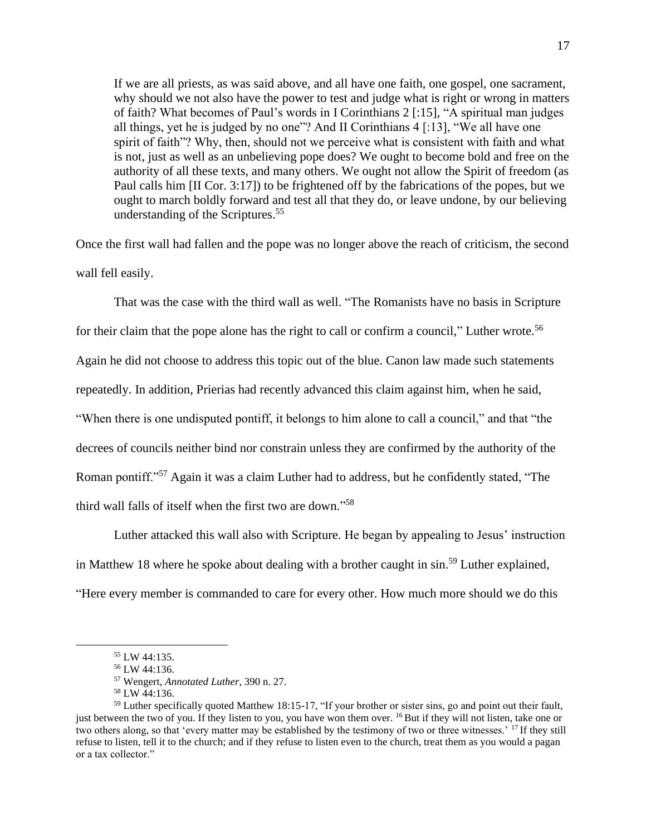If we are all priests, as was said above, and all have one faith, one gospel, one sacrament, why should we not also have the power to test and judge what is right or wrong in matters of faith? What becomes of Paul's words in I Corinthians 2 [:15], "A spiritual man judges all things, yet he is judged by no one"? And II Corinthians 4 [:13], "We all have one spirit of faith"? Why, then, should not we perceive what is consistent with faith and what is not, just as well as an unbelieving pope does? We ought to become bold and free on the authority of all these texts, and many others. We ought not allow the Spirit of freedom (as Paul calls him [II Cor. 3:17]) to be frightened off by the fabrications of the popes, but we ought to march boldly forward and test all that they do, or leave undone, by our believing understanding of the Scriptures.<sup>55</sup>

Once the first wall had fallen and the pope was no longer above the reach of criticism, the second wall fell easily.

That was the case with the third wall as well. "The Romanists have no basis in Scripture for their claim that the pope alone has the right to call or confirm a council," Luther wrote.<sup>56</sup> Again he did not choose to address this topic out of the blue. Canon law made such statements repeatedly. In addition, Prierias had recently advanced this claim against him, when he said, "When there is one undisputed pontiff, it belongs to him alone to call a council," and that "the decrees of councils neither bind nor constrain unless they are confirmed by the authority of the Roman pontiff."<sup>57</sup> Again it was a claim Luther had to address, but he confidently stated, "The third wall falls of itself when the first two are down." 58

Luther attacked this wall also with Scripture. He began by appealing to Jesus' instruction in Matthew 18 where he spoke about dealing with a brother caught in sin.<sup>59</sup> Luther explained, "Here every member is commanded to care for every other. How much more should we do this

<sup>55</sup> LW 44:135.

<sup>56</sup> LW 44:136.

<sup>57</sup> Wengert, *Annotated Luther*, 390 n. 27.

<sup>58</sup> LW 44:136.

<sup>59</sup> Luther specifically quoted Matthew 18:15-17, "If your brother or sister sins, go and point out their fault, just between the two of you. If they listen to you, you have won them over. <sup>16</sup> But if they will not listen, take one or two others along, so that 'every matter may be established by the testimony of two or three witnesses.' <sup>17</sup> If they still refuse to listen, tell it to the church; and if they refuse to listen even to the church, treat them as you would a pagan or a tax collector."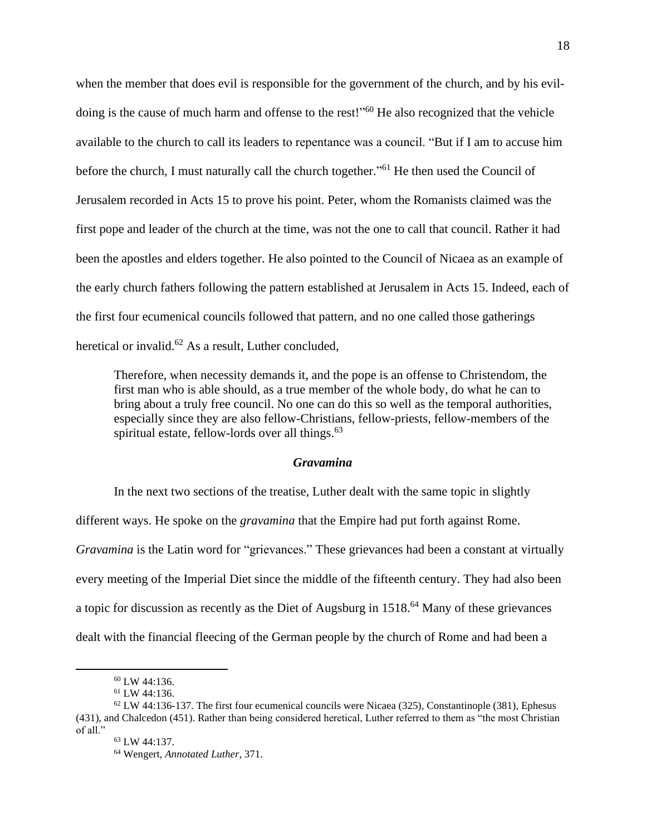when the member that does evil is responsible for the government of the church, and by his evildoing is the cause of much harm and offense to the rest!"<sup>60</sup> He also recognized that the vehicle available to the church to call its leaders to repentance was a council. "But if I am to accuse him before the church, I must naturally call the church together."<sup>61</sup> He then used the Council of Jerusalem recorded in Acts 15 to prove his point. Peter, whom the Romanists claimed was the first pope and leader of the church at the time, was not the one to call that council. Rather it had been the apostles and elders together. He also pointed to the Council of Nicaea as an example of the early church fathers following the pattern established at Jerusalem in Acts 15. Indeed, each of the first four ecumenical councils followed that pattern, and no one called those gatherings heretical or invalid. $62$  As a result, Luther concluded,

Therefore, when necessity demands it, and the pope is an offense to Christendom, the first man who is able should, as a true member of the whole body, do what he can to bring about a truly free council. No one can do this so well as the temporal authorities, especially since they are also fellow-Christians, fellow-priests, fellow-members of the spiritual estate, fellow-lords over all things. $63$ 

### *Gravamina*

In the next two sections of the treatise, Luther dealt with the same topic in slightly different ways. He spoke on the *gravamina* that the Empire had put forth against Rome. *Gravamina* is the Latin word for "grievances." These grievances had been a constant at virtually every meeting of the Imperial Diet since the middle of the fifteenth century. They had also been a topic for discussion as recently as the Diet of Augsburg in 1518.<sup>64</sup> Many of these grievances dealt with the financial fleecing of the German people by the church of Rome and had been a

 $60$  LW 44:136.

<sup>61</sup> LW 44:136.

 $62$  LW 44:136-137. The first four ecumenical councils were Nicaea (325), Constantinople (381), Ephesus (431), and Chalcedon (451). Rather than being considered heretical, Luther referred to them as "the most Christian of all."

<sup>63</sup> LW 44:137.

<sup>64</sup> Wengert, *Annotated Luther*, 371.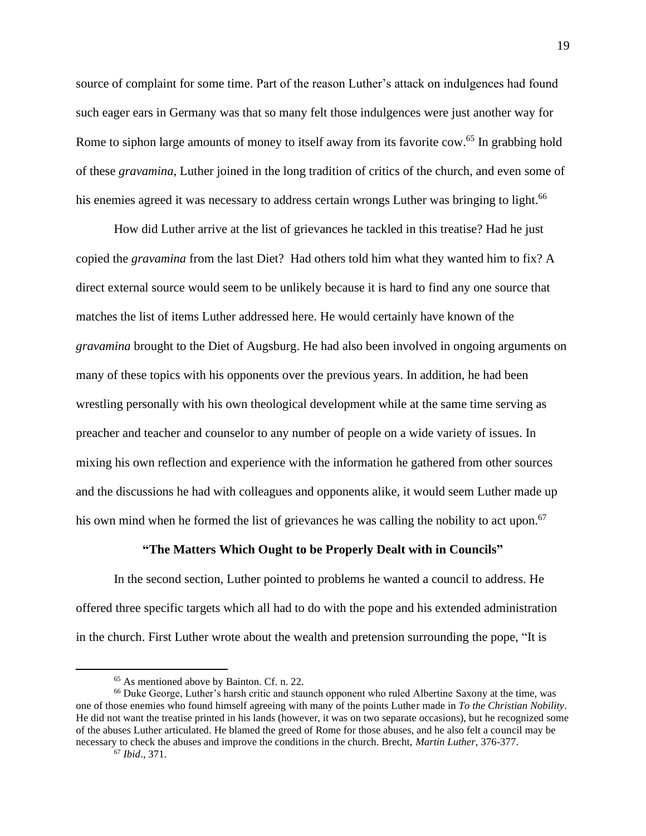source of complaint for some time. Part of the reason Luther's attack on indulgences had found such eager ears in Germany was that so many felt those indulgences were just another way for Rome to siphon large amounts of money to itself away from its favorite cow.<sup>65</sup> In grabbing hold of these *gravamina*, Luther joined in the long tradition of critics of the church, and even some of his enemies agreed it was necessary to address certain wrongs Luther was bringing to light.<sup>66</sup>

How did Luther arrive at the list of grievances he tackled in this treatise? Had he just copied the *gravamina* from the last Diet? Had others told him what they wanted him to fix? A direct external source would seem to be unlikely because it is hard to find any one source that matches the list of items Luther addressed here. He would certainly have known of the *gravamina* brought to the Diet of Augsburg. He had also been involved in ongoing arguments on many of these topics with his opponents over the previous years. In addition, he had been wrestling personally with his own theological development while at the same time serving as preacher and teacher and counselor to any number of people on a wide variety of issues. In mixing his own reflection and experience with the information he gathered from other sources and the discussions he had with colleagues and opponents alike, it would seem Luther made up his own mind when he formed the list of grievances he was calling the nobility to act upon.<sup>67</sup>

#### **"The Matters Which Ought to be Properly Dealt with in Councils"**

In the second section, Luther pointed to problems he wanted a council to address. He offered three specific targets which all had to do with the pope and his extended administration in the church. First Luther wrote about the wealth and pretension surrounding the pope, "It is

<sup>65</sup> As mentioned above by Bainton. Cf. n. 22.

<sup>66</sup> Duke George, Luther's harsh critic and staunch opponent who ruled Albertine Saxony at the time, was one of those enemies who found himself agreeing with many of the points Luther made in *To the Christian Nobility*. He did not want the treatise printed in his lands (however, it was on two separate occasions), but he recognized some of the abuses Luther articulated. He blamed the greed of Rome for those abuses, and he also felt a council may be necessary to check the abuses and improve the conditions in the church. Brecht, *Martin Luther*, 376-377.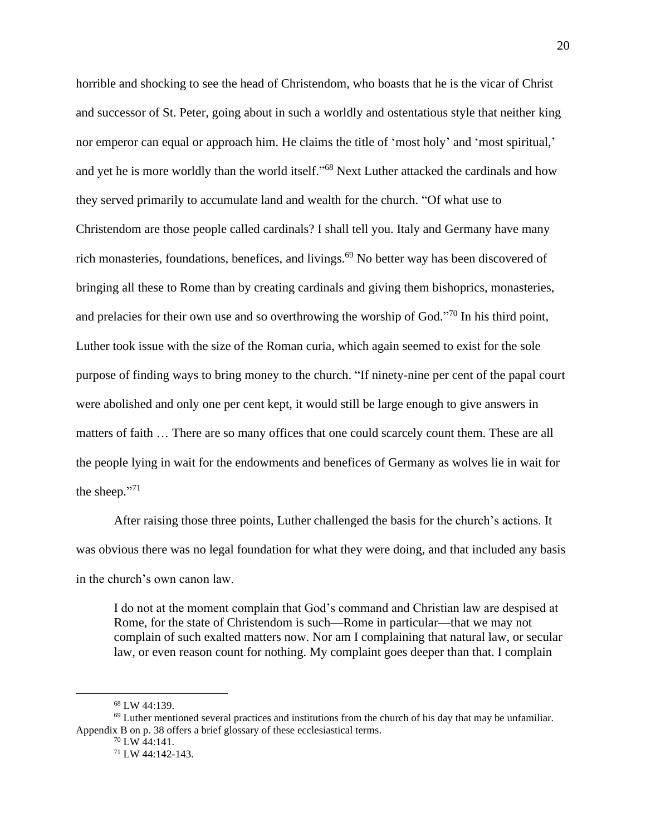horrible and shocking to see the head of Christendom, who boasts that he is the vicar of Christ and successor of St. Peter, going about in such a worldly and ostentatious style that neither king nor emperor can equal or approach him. He claims the title of 'most holy' and 'most spiritual,' and yet he is more worldly than the world itself."<sup>68</sup> Next Luther attacked the cardinals and how they served primarily to accumulate land and wealth for the church. "Of what use to Christendom are those people called cardinals? I shall tell you. Italy and Germany have many rich monasteries, foundations, benefices, and livings.<sup>69</sup> No better way has been discovered of bringing all these to Rome than by creating cardinals and giving them bishoprics, monasteries, and prelacies for their own use and so overthrowing the worship of God. $\frac{370}{10}$  In his third point, Luther took issue with the size of the Roman curia, which again seemed to exist for the sole purpose of finding ways to bring money to the church. "If ninety-nine per cent of the papal court were abolished and only one per cent kept, it would still be large enough to give answers in matters of faith … There are so many offices that one could scarcely count them. These are all the people lying in wait for the endowments and benefices of Germany as wolves lie in wait for the sheep."<sup>71</sup>

After raising those three points, Luther challenged the basis for the church's actions. It was obvious there was no legal foundation for what they were doing, and that included any basis in the church's own canon law.

I do not at the moment complain that God's command and Christian law are despised at Rome, for the state of Christendom is such—Rome in particular—that we may not complain of such exalted matters now. Nor am I complaining that natural law, or secular law, or even reason count for nothing. My complaint goes deeper than that. I complain

<sup>68</sup> LW 44:139.

 $69$  Luther mentioned several practices and institutions from the church of his day that may be unfamiliar. Appendix B on p. 38 offers a brief glossary of these ecclesiastical terms.

 $70$  LW 44:141.

<sup>71</sup> LW 44:142-143.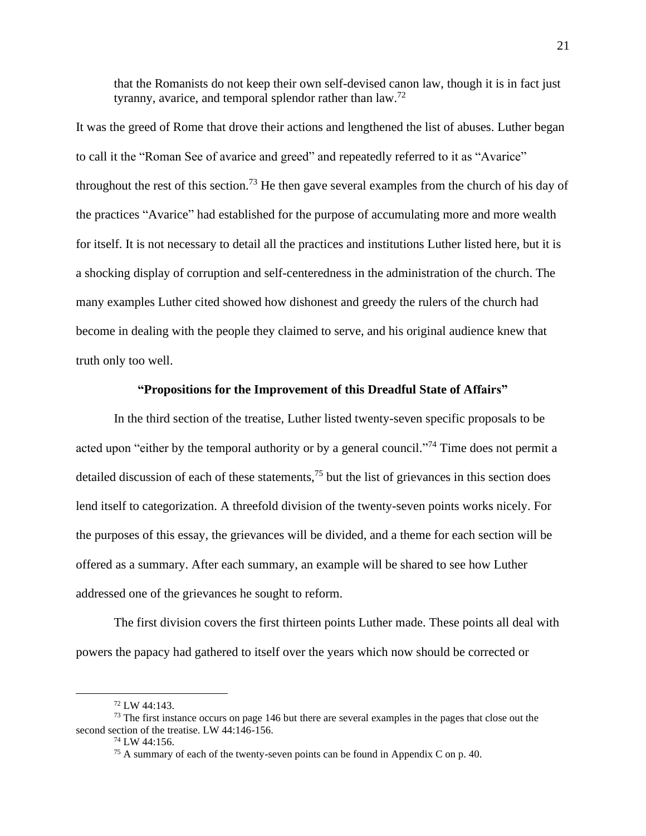that the Romanists do not keep their own self-devised canon law, though it is in fact just tyranny, avarice, and temporal splendor rather than  $\text{law}^{\,72}$ 

It was the greed of Rome that drove their actions and lengthened the list of abuses. Luther began to call it the "Roman See of avarice and greed" and repeatedly referred to it as "Avarice" throughout the rest of this section.<sup>73</sup> He then gave several examples from the church of his day of the practices "Avarice" had established for the purpose of accumulating more and more wealth for itself. It is not necessary to detail all the practices and institutions Luther listed here, but it is a shocking display of corruption and self-centeredness in the administration of the church. The many examples Luther cited showed how dishonest and greedy the rulers of the church had become in dealing with the people they claimed to serve, and his original audience knew that truth only too well.

## **"Propositions for the Improvement of this Dreadful State of Affairs"**

In the third section of the treatise, Luther listed twenty-seven specific proposals to be acted upon "either by the temporal authority or by a general council."<sup>74</sup> Time does not permit a detailed discussion of each of these statements,  $^{75}$  but the list of grievances in this section does lend itself to categorization. A threefold division of the twenty-seven points works nicely. For the purposes of this essay, the grievances will be divided, and a theme for each section will be offered as a summary. After each summary, an example will be shared to see how Luther addressed one of the grievances he sought to reform.

The first division covers the first thirteen points Luther made. These points all deal with powers the papacy had gathered to itself over the years which now should be corrected or

<sup>72</sup> LW 44:143.

 $<sup>73</sup>$  The first instance occurs on page 146 but there are several examples in the pages that close out the</sup> second section of the treatise. LW 44:146-156.

 $74$  LW 44:156.

<sup>75</sup> A summary of each of the twenty-seven points can be found in Appendix C on p. 40.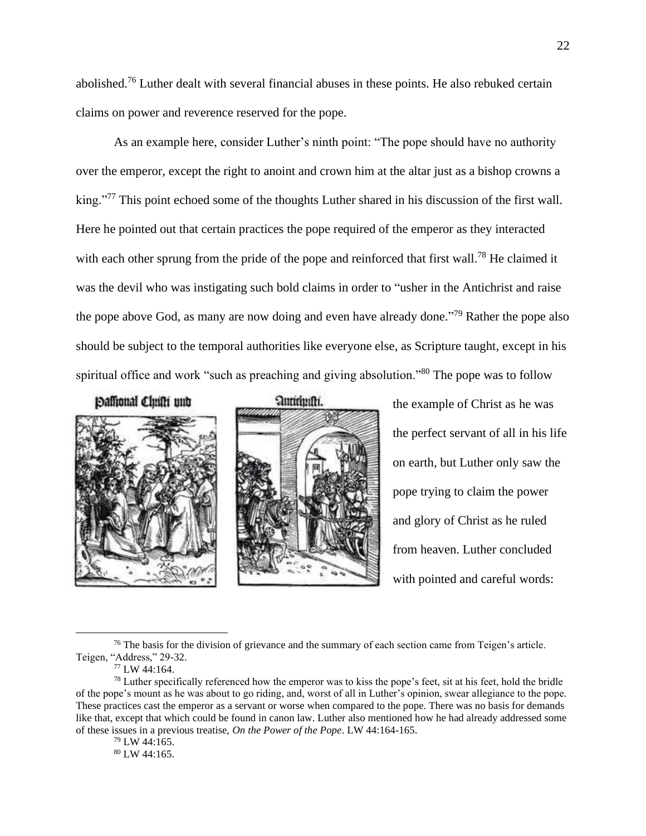abolished.<sup>76</sup> Luther dealt with several financial abuses in these points. He also rebuked certain claims on power and reverence reserved for the pope.

As an example here, consider Luther's ninth point: "The pope should have no authority over the emperor, except the right to anoint and crown him at the altar just as a bishop crowns a king."<sup>77</sup> This point echoed some of the thoughts Luther shared in his discussion of the first wall. Here he pointed out that certain practices the pope required of the emperor as they interacted with each other sprung from the pride of the pope and reinforced that first wall.<sup>78</sup> He claimed it was the devil who was instigating such bold claims in order to "usher in the Antichrist and raise the pope above God, as many are now doing and even have already done."<sup>79</sup> Rather the pope also should be subject to the temporal authorities like everyone else, as Scripture taught, except in his spiritual office and work "such as preaching and giving absolution."<sup>80</sup> The pope was to follow

Daffional Chufti und





the example of Christ as he was the perfect servant of all in his life on earth, but Luther only saw the pope trying to claim the power and glory of Christ as he ruled from heaven. Luther concluded with pointed and careful words:

<sup>76</sup> The basis for the division of grievance and the summary of each section came from Teigen's article. Teigen, "Address," 29-32.

<sup>77</sup> LW 44:164.

 $79$  LW 44:165.

<sup>80</sup> LW 44:165.

 $^{78}$  Luther specifically referenced how the emperor was to kiss the pope's feet, sit at his feet, hold the bridle of the pope's mount as he was about to go riding, and, worst of all in Luther's opinion, swear allegiance to the pope. These practices cast the emperor as a servant or worse when compared to the pope. There was no basis for demands like that, except that which could be found in canon law. Luther also mentioned how he had already addressed some of these issues in a previous treatise, *On the Power of the Pope*. LW 44:164-165.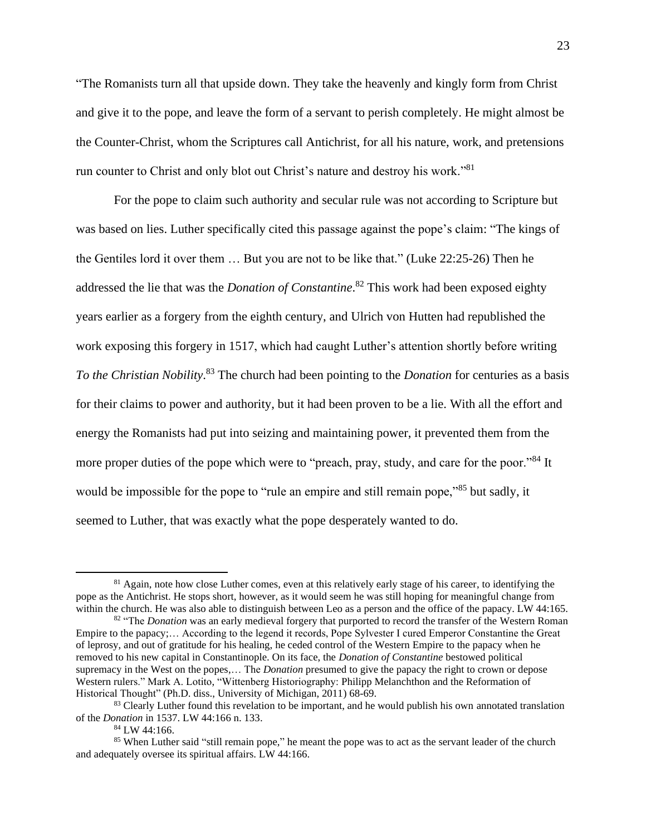"The Romanists turn all that upside down. They take the heavenly and kingly form from Christ and give it to the pope, and leave the form of a servant to perish completely. He might almost be the Counter-Christ, whom the Scriptures call Antichrist, for all his nature, work, and pretensions run counter to Christ and only blot out Christ's nature and destroy his work."<sup>81</sup>

For the pope to claim such authority and secular rule was not according to Scripture but was based on lies. Luther specifically cited this passage against the pope's claim: "The kings of the Gentiles lord it over them … But you are not to be like that." (Luke 22:25-26) Then he addressed the lie that was the *Donation of Constantine*. <sup>82</sup> This work had been exposed eighty years earlier as a forgery from the eighth century, and Ulrich von Hutten had republished the work exposing this forgery in 1517, which had caught Luther's attention shortly before writing *To the Christian Nobility*. <sup>83</sup> The church had been pointing to the *Donation* for centuries as a basis for their claims to power and authority, but it had been proven to be a lie. With all the effort and energy the Romanists had put into seizing and maintaining power, it prevented them from the more proper duties of the pope which were to "preach, pray, study, and care for the poor."<sup>84</sup> It would be impossible for the pope to "rule an empire and still remain pope,"<sup>85</sup> but sadly, it seemed to Luther, that was exactly what the pope desperately wanted to do.

<sup>&</sup>lt;sup>81</sup> Again, note how close Luther comes, even at this relatively early stage of his career, to identifying the pope as the Antichrist. He stops short, however, as it would seem he was still hoping for meaningful change from within the church. He was also able to distinguish between Leo as a person and the office of the papacy. LW 44:165.

<sup>&</sup>lt;sup>82</sup> "The *Donation* was an early medieval forgery that purported to record the transfer of the Western Roman Empire to the papacy;… According to the legend it records, Pope Sylvester I cured Emperor Constantine the Great of leprosy, and out of gratitude for his healing, he ceded control of the Western Empire to the papacy when he removed to his new capital in Constantinople. On its face, the *Donation of Constantine* bestowed political supremacy in the West on the popes,… The *Donation* presumed to give the papacy the right to crown or depose Western rulers." Mark A. Lotito, "Wittenberg Historiography: Philipp Melanchthon and the Reformation of Historical Thought" (Ph.D. diss., University of Michigan, 2011) 68-69.

<sup>&</sup>lt;sup>83</sup> Clearly Luther found this revelation to be important, and he would publish his own annotated translation of the *Donation* in 1537. LW 44:166 n. 133.

<sup>84</sup> LW 44:166.

<sup>&</sup>lt;sup>85</sup> When Luther said "still remain pope," he meant the pope was to act as the servant leader of the church and adequately oversee its spiritual affairs. LW 44:166.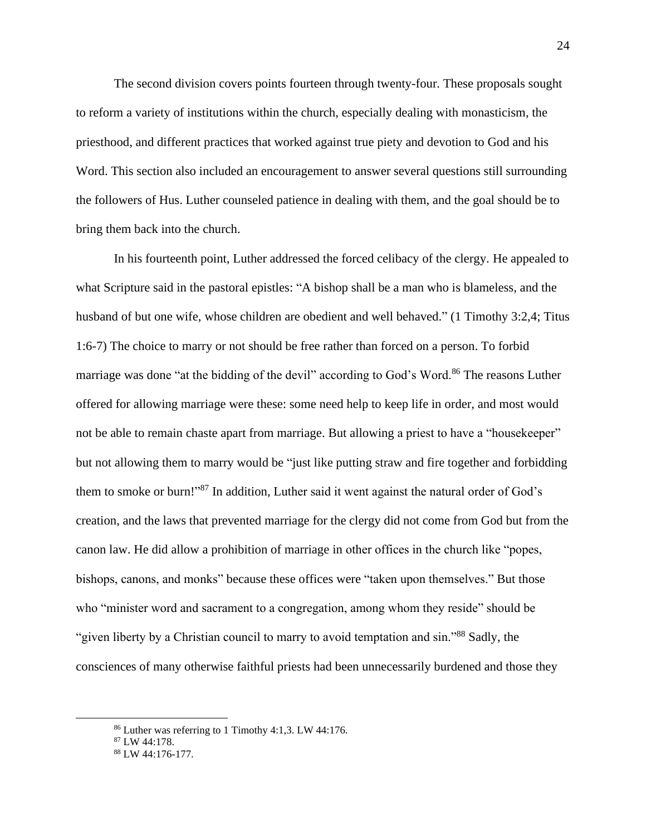The second division covers points fourteen through twenty-four. These proposals sought to reform a variety of institutions within the church, especially dealing with monasticism, the priesthood, and different practices that worked against true piety and devotion to God and his Word. This section also included an encouragement to answer several questions still surrounding the followers of Hus. Luther counseled patience in dealing with them, and the goal should be to bring them back into the church.

In his fourteenth point, Luther addressed the forced celibacy of the clergy. He appealed to what Scripture said in the pastoral epistles: "A bishop shall be a man who is blameless, and the husband of but one wife, whose children are obedient and well behaved." (1 Timothy 3:2,4; Titus 1:6-7) The choice to marry or not should be free rather than forced on a person. To forbid marriage was done "at the bidding of the devil" according to God's Word.<sup>86</sup> The reasons Luther offered for allowing marriage were these: some need help to keep life in order, and most would not be able to remain chaste apart from marriage. But allowing a priest to have a "housekeeper" but not allowing them to marry would be "just like putting straw and fire together and forbidding them to smoke or burn!"<sup>87</sup> In addition, Luther said it went against the natural order of God's creation, and the laws that prevented marriage for the clergy did not come from God but from the canon law. He did allow a prohibition of marriage in other offices in the church like "popes, bishops, canons, and monks" because these offices were "taken upon themselves." But those who "minister word and sacrament to a congregation, among whom they reside" should be "given liberty by a Christian council to marry to avoid temptation and sin."<sup>88</sup> Sadly, the consciences of many otherwise faithful priests had been unnecessarily burdened and those they

<sup>86</sup> Luther was referring to 1 Timothy 4:1,3. LW 44:176.

<sup>87</sup> LW 44:178.

<sup>88</sup> LW 44:176-177.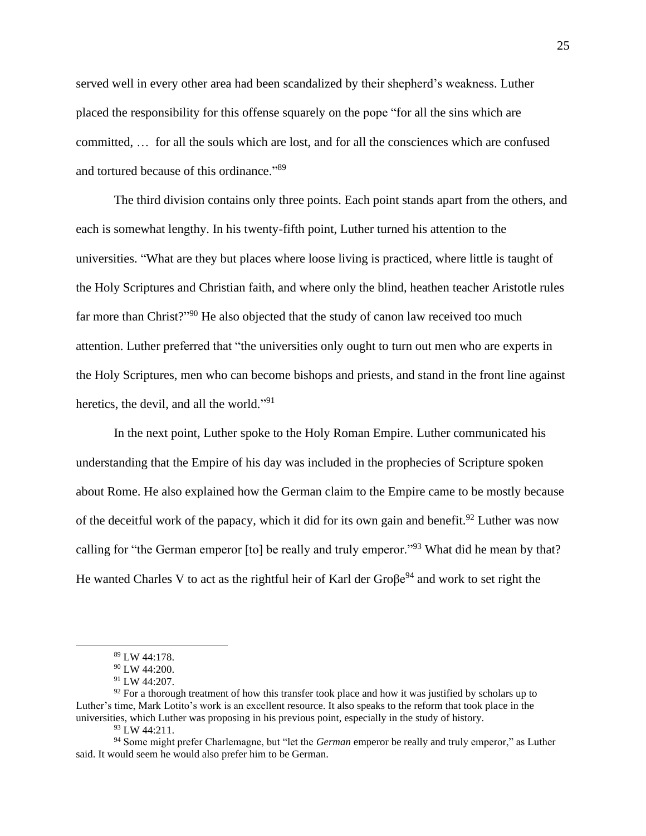served well in every other area had been scandalized by their shepherd's weakness. Luther placed the responsibility for this offense squarely on the pope "for all the sins which are committed, … for all the souls which are lost, and for all the consciences which are confused and tortured because of this ordinance."<sup>89</sup>

The third division contains only three points. Each point stands apart from the others, and each is somewhat lengthy. In his twenty-fifth point, Luther turned his attention to the universities. "What are they but places where loose living is practiced, where little is taught of the Holy Scriptures and Christian faith, and where only the blind, heathen teacher Aristotle rules far more than Christ?"<sup>90</sup> He also objected that the study of canon law received too much attention. Luther preferred that "the universities only ought to turn out men who are experts in the Holy Scriptures, men who can become bishops and priests, and stand in the front line against heretics, the devil, and all the world."<sup>91</sup>

In the next point, Luther spoke to the Holy Roman Empire. Luther communicated his understanding that the Empire of his day was included in the prophecies of Scripture spoken about Rome. He also explained how the German claim to the Empire came to be mostly because of the deceitful work of the papacy, which it did for its own gain and benefit.<sup>92</sup> Luther was now calling for "the German emperor [to] be really and truly emperor."<sup>93</sup> What did he mean by that? He wanted Charles V to act as the rightful heir of Karl der Gro $\beta e^{94}$  and work to set right the

<sup>89</sup> LW 44:178.

<sup>90</sup> LW 44:200.

<sup>91</sup> LW 44:207.

 $92$  For a thorough treatment of how this transfer took place and how it was justified by scholars up to Luther's time, Mark Lotito's work is an excellent resource. It also speaks to the reform that took place in the universities, which Luther was proposing in his previous point, especially in the study of history.

<sup>93</sup> LW 44:211.

<sup>94</sup> Some might prefer Charlemagne, but "let the *German* emperor be really and truly emperor," as Luther said. It would seem he would also prefer him to be German.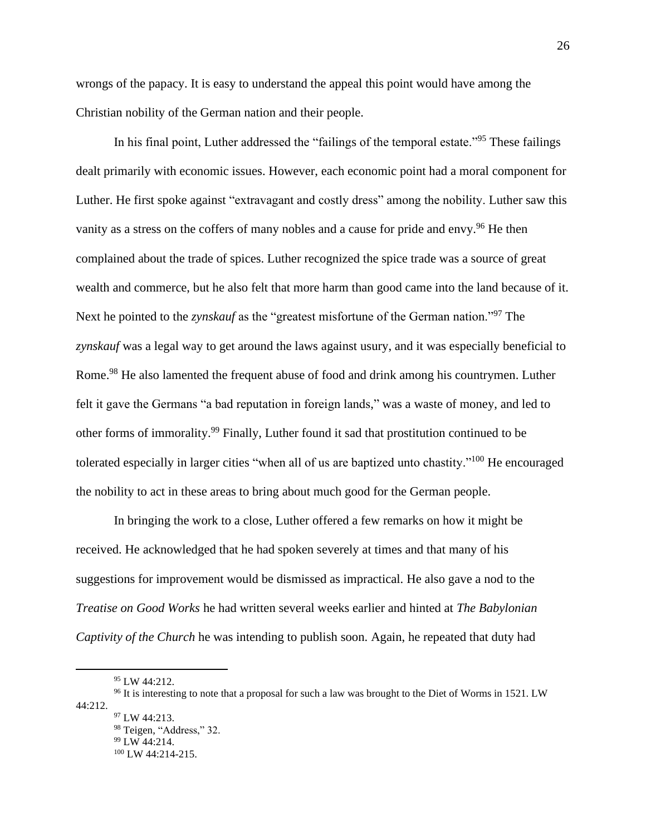wrongs of the papacy. It is easy to understand the appeal this point would have among the Christian nobility of the German nation and their people.

In his final point, Luther addressed the "failings of the temporal estate."<sup>95</sup> These failings dealt primarily with economic issues. However, each economic point had a moral component for Luther. He first spoke against "extravagant and costly dress" among the nobility. Luther saw this vanity as a stress on the coffers of many nobles and a cause for pride and envy.<sup>96</sup> He then complained about the trade of spices. Luther recognized the spice trade was a source of great wealth and commerce, but he also felt that more harm than good came into the land because of it. Next he pointed to the *zynskauf* as the "greatest misfortune of the German nation."<sup>97</sup> The *zynskauf* was a legal way to get around the laws against usury, and it was especially beneficial to Rome.<sup>98</sup> He also lamented the frequent abuse of food and drink among his countrymen. Luther felt it gave the Germans "a bad reputation in foreign lands," was a waste of money, and led to other forms of immorality.<sup>99</sup> Finally, Luther found it sad that prostitution continued to be tolerated especially in larger cities "when all of us are baptized unto chastity."<sup>100</sup> He encouraged the nobility to act in these areas to bring about much good for the German people.

In bringing the work to a close, Luther offered a few remarks on how it might be received. He acknowledged that he had spoken severely at times and that many of his suggestions for improvement would be dismissed as impractical. He also gave a nod to the *Treatise on Good Works* he had written several weeks earlier and hinted at *The Babylonian Captivity of the Church* he was intending to publish soon. Again, he repeated that duty had

98 Teigen, "Address," 32. <sup>99</sup> LW 44:214. <sup>100</sup> LW 44:214-215.

<sup>95</sup> LW 44:212.

<sup>&</sup>lt;sup>96</sup> It is interesting to note that a proposal for such a law was brought to the Diet of Worms in 1521. LW 44:212. <sup>97</sup> LW 44:213.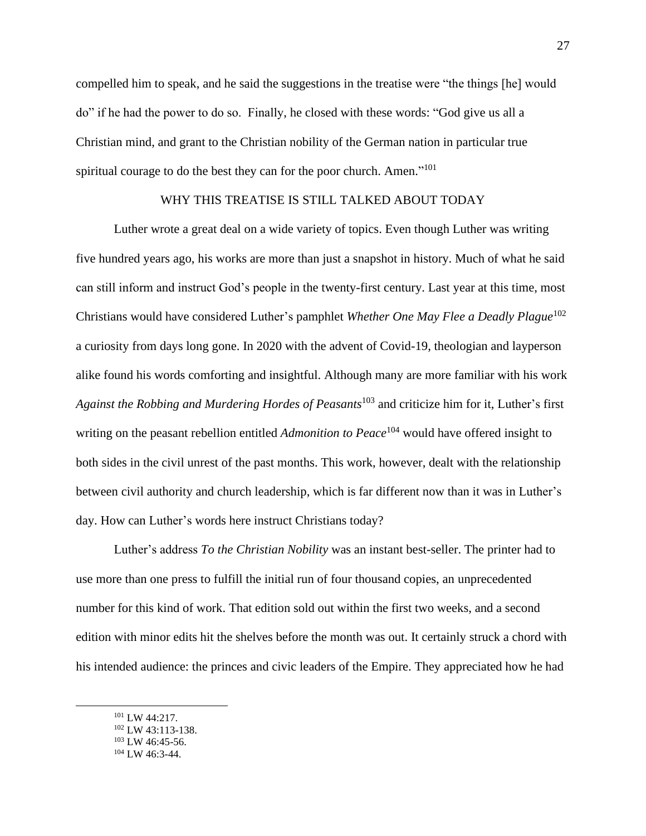compelled him to speak, and he said the suggestions in the treatise were "the things [he] would do" if he had the power to do so. Finally, he closed with these words: "God give us all a Christian mind, and grant to the Christian nobility of the German nation in particular true spiritual courage to do the best they can for the poor church. Amen."<sup>101</sup>

## WHY THIS TREATISE IS STILL TALKED ABOUT TODAY

Luther wrote a great deal on a wide variety of topics. Even though Luther was writing five hundred years ago, his works are more than just a snapshot in history. Much of what he said can still inform and instruct God's people in the twenty-first century. Last year at this time, most Christians would have considered Luther's pamphlet *Whether One May Flee a Deadly Plague*<sup>102</sup> a curiosity from days long gone. In 2020 with the advent of Covid-19, theologian and layperson alike found his words comforting and insightful. Although many are more familiar with his work *Against the Robbing and Murdering Hordes of Peasants*<sup>103</sup> and criticize him for it, Luther's first writing on the peasant rebellion entitled *Admonition to Peace*<sup>104</sup> would have offered insight to both sides in the civil unrest of the past months. This work, however, dealt with the relationship between civil authority and church leadership, which is far different now than it was in Luther's day. How can Luther's words here instruct Christians today?

Luther's address *To the Christian Nobility* was an instant best-seller. The printer had to use more than one press to fulfill the initial run of four thousand copies, an unprecedented number for this kind of work. That edition sold out within the first two weeks, and a second edition with minor edits hit the shelves before the month was out. It certainly struck a chord with his intended audience: the princes and civic leaders of the Empire. They appreciated how he had

<sup>101</sup> LW 44:217.

<sup>102</sup> LW 43:113-138.

 $103$  LW 46:45-56.

<sup>104</sup> LW 46:3-44.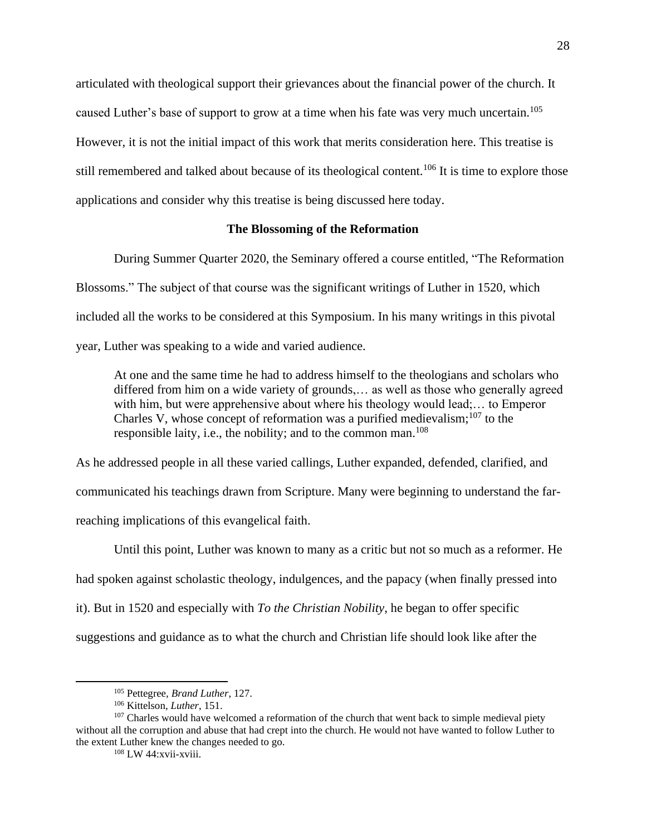articulated with theological support their grievances about the financial power of the church. It caused Luther's base of support to grow at a time when his fate was very much uncertain.<sup>105</sup> However, it is not the initial impact of this work that merits consideration here. This treatise is still remembered and talked about because of its theological content.<sup>106</sup> It is time to explore those applications and consider why this treatise is being discussed here today.

## **The Blossoming of the Reformation**

During Summer Quarter 2020, the Seminary offered a course entitled, "The Reformation Blossoms." The subject of that course was the significant writings of Luther in 1520, which included all the works to be considered at this Symposium. In his many writings in this pivotal year, Luther was speaking to a wide and varied audience.

At one and the same time he had to address himself to the theologians and scholars who differed from him on a wide variety of grounds,… as well as those who generally agreed with him, but were apprehensive about where his theology would lead;... to Emperor Charles V, whose concept of reformation was a purified medievalism; $107$  to the responsible laity, i.e., the nobility; and to the common man.<sup>108</sup>

As he addressed people in all these varied callings, Luther expanded, defended, clarified, and communicated his teachings drawn from Scripture. Many were beginning to understand the farreaching implications of this evangelical faith.

Until this point, Luther was known to many as a critic but not so much as a reformer. He had spoken against scholastic theology, indulgences, and the papacy (when finally pressed into it). But in 1520 and especially with *To the Christian Nobility*, he began to offer specific suggestions and guidance as to what the church and Christian life should look like after the

<sup>105</sup> Pettegree, *Brand Luther*, 127.

<sup>106</sup> Kittelson, *Luther*, 151.

<sup>&</sup>lt;sup>107</sup> Charles would have welcomed a reformation of the church that went back to simple medieval piety without all the corruption and abuse that had crept into the church. He would not have wanted to follow Luther to the extent Luther knew the changes needed to go.

<sup>108</sup> LW 44:xvii-xviii.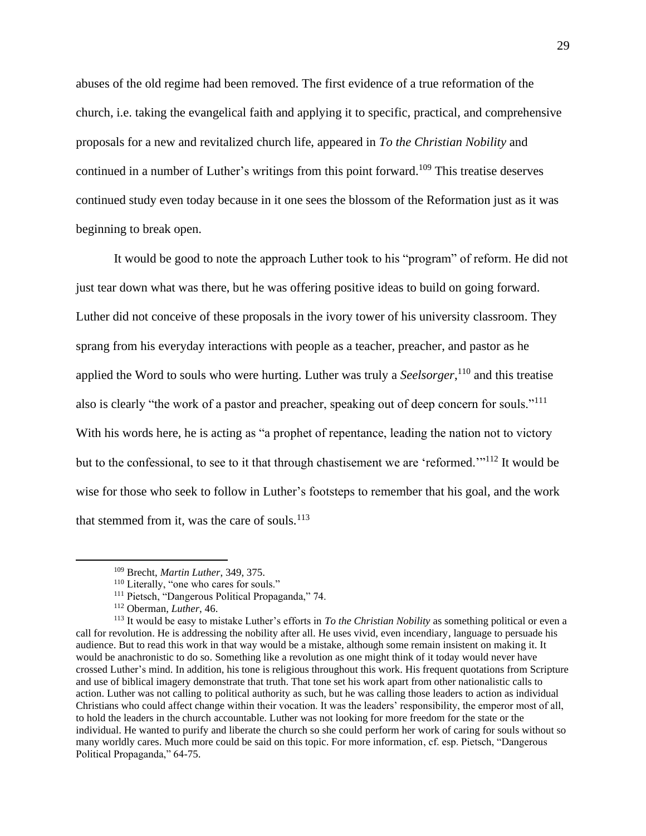abuses of the old regime had been removed. The first evidence of a true reformation of the church, i.e. taking the evangelical faith and applying it to specific, practical, and comprehensive proposals for a new and revitalized church life, appeared in *To the Christian Nobility* and continued in a number of Luther's writings from this point forward.<sup>109</sup> This treatise deserves continued study even today because in it one sees the blossom of the Reformation just as it was beginning to break open.

It would be good to note the approach Luther took to his "program" of reform. He did not just tear down what was there, but he was offering positive ideas to build on going forward. Luther did not conceive of these proposals in the ivory tower of his university classroom. They sprang from his everyday interactions with people as a teacher, preacher, and pastor as he applied the Word to souls who were hurting. Luther was truly a *Seelsorger*, <sup>110</sup> and this treatise also is clearly "the work of a pastor and preacher, speaking out of deep concern for souls."<sup>111</sup> With his words here, he is acting as "a prophet of repentance, leading the nation not to victory but to the confessional, to see to it that through chastisement we are 'reformed.'"<sup>112</sup> It would be wise for those who seek to follow in Luther's footsteps to remember that his goal, and the work that stemmed from it, was the care of souls. $^{113}$ 

<sup>109</sup> Brecht, *Martin Luther*, 349, 375.

<sup>110</sup> Literally, "one who cares for souls."

<sup>111</sup> Pietsch, "Dangerous Political Propaganda," 74.

<sup>112</sup> Oberman, *Luther*, 46.

<sup>113</sup> It would be easy to mistake Luther's efforts in *To the Christian Nobility* as something political or even a call for revolution. He is addressing the nobility after all. He uses vivid, even incendiary, language to persuade his audience. But to read this work in that way would be a mistake, although some remain insistent on making it. It would be anachronistic to do so. Something like a revolution as one might think of it today would never have crossed Luther's mind. In addition, his tone is religious throughout this work. His frequent quotations from Scripture and use of biblical imagery demonstrate that truth. That tone set his work apart from other nationalistic calls to action. Luther was not calling to political authority as such, but he was calling those leaders to action as individual Christians who could affect change within their vocation. It was the leaders' responsibility, the emperor most of all, to hold the leaders in the church accountable. Luther was not looking for more freedom for the state or the individual. He wanted to purify and liberate the church so she could perform her work of caring for souls without so many worldly cares. Much more could be said on this topic. For more information, cf. esp. Pietsch, "Dangerous Political Propaganda," 64-75.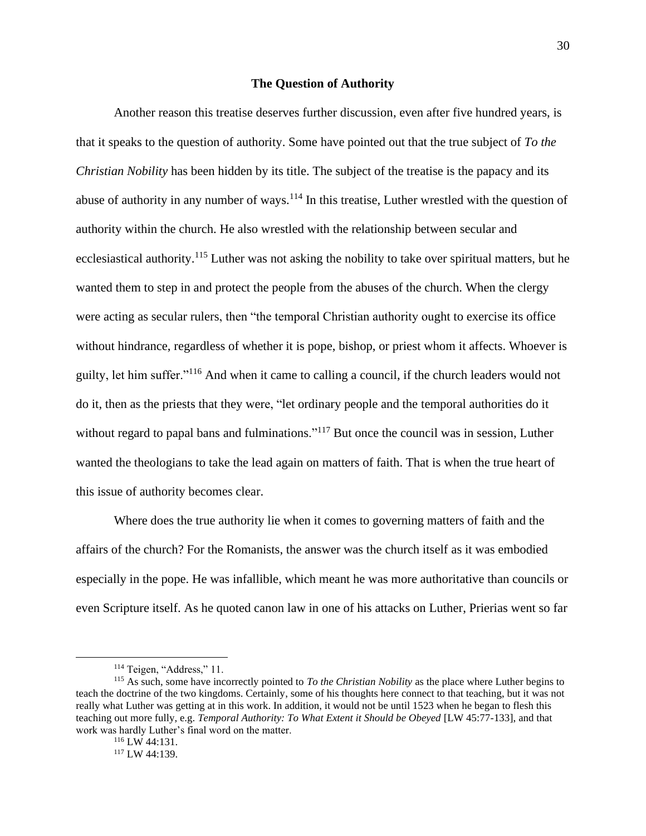## **The Question of Authority**

Another reason this treatise deserves further discussion, even after five hundred years, is that it speaks to the question of authority. Some have pointed out that the true subject of *To the Christian Nobility* has been hidden by its title. The subject of the treatise is the papacy and its abuse of authority in any number of ways.<sup>114</sup> In this treatise, Luther wrestled with the question of authority within the church. He also wrestled with the relationship between secular and ecclesiastical authority.<sup>115</sup> Luther was not asking the nobility to take over spiritual matters, but he wanted them to step in and protect the people from the abuses of the church. When the clergy were acting as secular rulers, then "the temporal Christian authority ought to exercise its office without hindrance, regardless of whether it is pope, bishop, or priest whom it affects. Whoever is guilty, let him suffer."<sup>116</sup> And when it came to calling a council, if the church leaders would not do it, then as the priests that they were, "let ordinary people and the temporal authorities do it without regard to papal bans and fulminations."<sup>117</sup> But once the council was in session, Luther wanted the theologians to take the lead again on matters of faith. That is when the true heart of this issue of authority becomes clear.

Where does the true authority lie when it comes to governing matters of faith and the affairs of the church? For the Romanists, the answer was the church itself as it was embodied especially in the pope. He was infallible, which meant he was more authoritative than councils or even Scripture itself. As he quoted canon law in one of his attacks on Luther, Prierias went so far

<sup>&</sup>lt;sup>114</sup> Teigen, "Address," 11.

<sup>115</sup> As such, some have incorrectly pointed to *To the Christian Nobility* as the place where Luther begins to teach the doctrine of the two kingdoms. Certainly, some of his thoughts here connect to that teaching, but it was not really what Luther was getting at in this work. In addition, it would not be until 1523 when he began to flesh this teaching out more fully, e.g. *Temporal Authority: To What Extent it Should be Obeyed* [LW 45:77-133], and that work was hardly Luther's final word on the matter.

<sup>116</sup> LW 44:131.

<sup>117</sup> LW 44:139.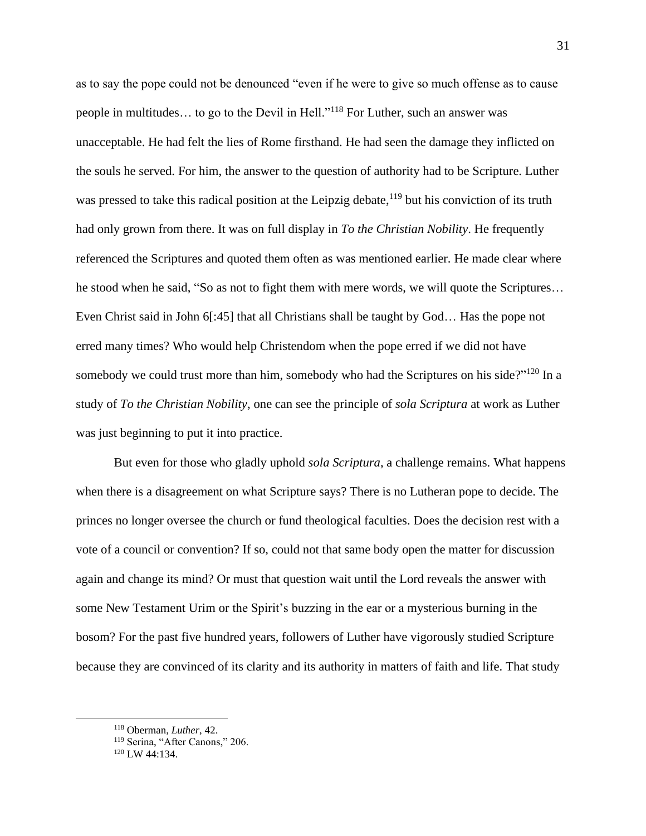as to say the pope could not be denounced "even if he were to give so much offense as to cause people in multitudes… to go to the Devil in Hell."<sup>118</sup> For Luther, such an answer was unacceptable. He had felt the lies of Rome firsthand. He had seen the damage they inflicted on the souls he served. For him, the answer to the question of authority had to be Scripture. Luther was pressed to take this radical position at the Leipzig debate,<sup>119</sup> but his conviction of its truth had only grown from there. It was on full display in *To the Christian Nobility*. He frequently referenced the Scriptures and quoted them often as was mentioned earlier. He made clear where he stood when he said, "So as not to fight them with mere words, we will quote the Scriptures… Even Christ said in John 6[:45] that all Christians shall be taught by God… Has the pope not erred many times? Who would help Christendom when the pope erred if we did not have somebody we could trust more than him, somebody who had the Scriptures on his side?" $120$  In a study of *To the Christian Nobility*, one can see the principle of *sola Scriptura* at work as Luther was just beginning to put it into practice.

But even for those who gladly uphold *sola Scriptura*, a challenge remains. What happens when there is a disagreement on what Scripture says? There is no Lutheran pope to decide. The princes no longer oversee the church or fund theological faculties. Does the decision rest with a vote of a council or convention? If so, could not that same body open the matter for discussion again and change its mind? Or must that question wait until the Lord reveals the answer with some New Testament Urim or the Spirit's buzzing in the ear or a mysterious burning in the bosom? For the past five hundred years, followers of Luther have vigorously studied Scripture because they are convinced of its clarity and its authority in matters of faith and life. That study

<sup>118</sup> Oberman, *Luther*, 42.

<sup>&</sup>lt;sup>119</sup> Serina, "After Canons," 206.

<sup>120</sup> LW 44:134.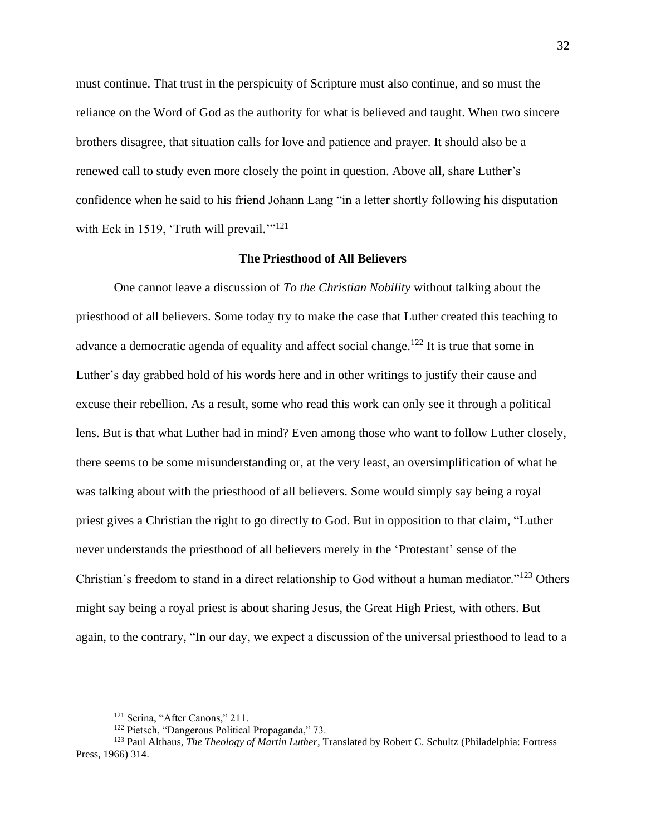must continue. That trust in the perspicuity of Scripture must also continue, and so must the reliance on the Word of God as the authority for what is believed and taught. When two sincere brothers disagree, that situation calls for love and patience and prayer. It should also be a renewed call to study even more closely the point in question. Above all, share Luther's confidence when he said to his friend Johann Lang "in a letter shortly following his disputation with Eck in 1519, 'Truth will prevail.'"<sup>121</sup>

## **The Priesthood of All Believers**

One cannot leave a discussion of *To the Christian Nobility* without talking about the priesthood of all believers. Some today try to make the case that Luther created this teaching to advance a democratic agenda of equality and affect social change.<sup>122</sup> It is true that some in Luther's day grabbed hold of his words here and in other writings to justify their cause and excuse their rebellion. As a result, some who read this work can only see it through a political lens. But is that what Luther had in mind? Even among those who want to follow Luther closely, there seems to be some misunderstanding or, at the very least, an oversimplification of what he was talking about with the priesthood of all believers. Some would simply say being a royal priest gives a Christian the right to go directly to God. But in opposition to that claim, "Luther never understands the priesthood of all believers merely in the 'Protestant' sense of the Christian's freedom to stand in a direct relationship to God without a human mediator."<sup>123</sup> Others might say being a royal priest is about sharing Jesus, the Great High Priest, with others. But again, to the contrary, "In our day, we expect a discussion of the universal priesthood to lead to a

<sup>&</sup>lt;sup>121</sup> Serina, "After Canons," 211.

<sup>122</sup> Pietsch, "Dangerous Political Propaganda," 73.

<sup>123</sup> Paul Althaus, *The Theology of Martin Luther*, Translated by Robert C. Schultz (Philadelphia: Fortress Press, 1966) 314.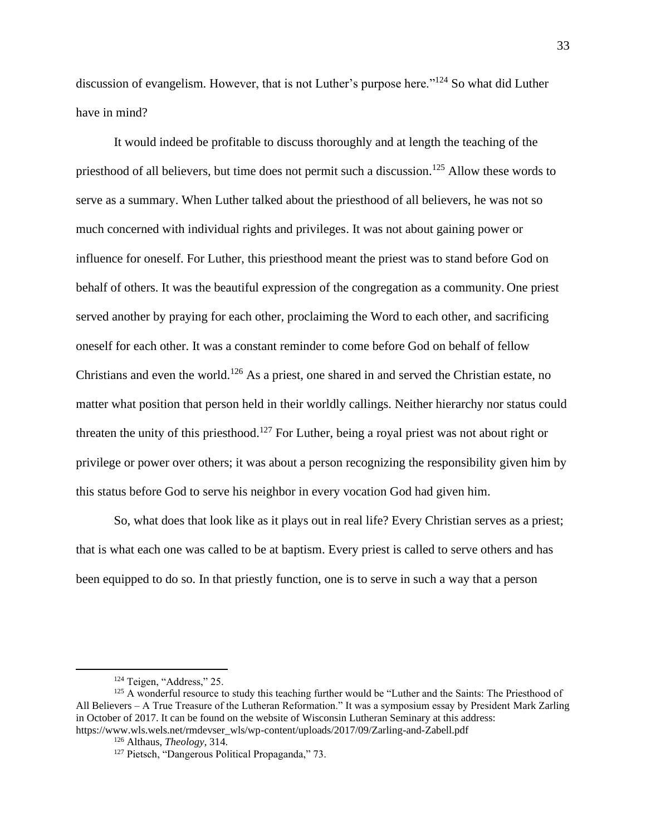discussion of evangelism. However, that is not Luther's purpose here."<sup>124</sup> So what did Luther have in mind?

It would indeed be profitable to discuss thoroughly and at length the teaching of the priesthood of all believers, but time does not permit such a discussion.<sup>125</sup> Allow these words to serve as a summary. When Luther talked about the priesthood of all believers, he was not so much concerned with individual rights and privileges. It was not about gaining power or influence for oneself. For Luther, this priesthood meant the priest was to stand before God on behalf of others. It was the beautiful expression of the congregation as a community. One priest served another by praying for each other, proclaiming the Word to each other, and sacrificing oneself for each other. It was a constant reminder to come before God on behalf of fellow Christians and even the world.<sup>126</sup> As a priest, one shared in and served the Christian estate, no matter what position that person held in their worldly callings. Neither hierarchy nor status could threaten the unity of this priesthood.<sup>127</sup> For Luther, being a royal priest was not about right or privilege or power over others; it was about a person recognizing the responsibility given him by this status before God to serve his neighbor in every vocation God had given him.

So, what does that look like as it plays out in real life? Every Christian serves as a priest; that is what each one was called to be at baptism. Every priest is called to serve others and has been equipped to do so. In that priestly function, one is to serve in such a way that a person

<sup>124</sup> Teigen, "Address," 25.

<sup>&</sup>lt;sup>125</sup> A wonderful resource to study this teaching further would be "Luther and the Saints: The Priesthood of All Believers – A True Treasure of the Lutheran Reformation." It was a symposium essay by President Mark Zarling in October of 2017. It can be found on the website of Wisconsin Lutheran Seminary at this address: https://www.wls.wels.net/rmdevser\_wls/wp-content/uploads/2017/09/Zarling-and-Zabell.pdf

<sup>126</sup> Althaus, *Theology*, 314.

<sup>&</sup>lt;sup>127</sup> Pietsch, "Dangerous Political Propaganda," 73.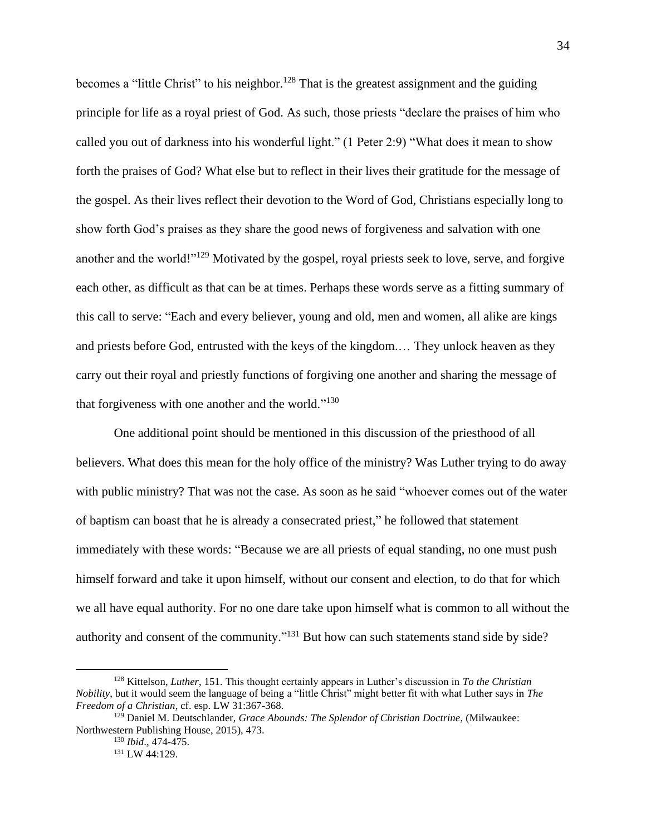becomes a "little Christ" to his neighbor.<sup>128</sup> That is the greatest assignment and the guiding principle for life as a royal priest of God. As such, those priests "declare the praises of him who called you out of darkness into his wonderful light." (1 Peter 2:9) "What does it mean to show forth the praises of God? What else but to reflect in their lives their gratitude for the message of the gospel. As their lives reflect their devotion to the Word of God, Christians especially long to show forth God's praises as they share the good news of forgiveness and salvation with one another and the world!"<sup>129</sup> Motivated by the gospel, royal priests seek to love, serve, and forgive each other, as difficult as that can be at times. Perhaps these words serve as a fitting summary of this call to serve: "Each and every believer, young and old, men and women, all alike are kings and priests before God, entrusted with the keys of the kingdom.… They unlock heaven as they carry out their royal and priestly functions of forgiving one another and sharing the message of that forgiveness with one another and the world."<sup>130</sup>

One additional point should be mentioned in this discussion of the priesthood of all believers. What does this mean for the holy office of the ministry? Was Luther trying to do away with public ministry? That was not the case. As soon as he said "whoever comes out of the water of baptism can boast that he is already a consecrated priest," he followed that statement immediately with these words: "Because we are all priests of equal standing, no one must push himself forward and take it upon himself, without our consent and election, to do that for which we all have equal authority. For no one dare take upon himself what is common to all without the authority and consent of the community."<sup> $131$ </sup> But how can such statements stand side by side?

<sup>128</sup> Kittelson, *Luther*, 151. This thought certainly appears in Luther's discussion in *To the Christian Nobility*, but it would seem the language of being a "little Christ" might better fit with what Luther says in *The Freedom of a Christian*, cf. esp. LW 31:367-368.

<sup>129</sup> Daniel M. Deutschlander, *Grace Abounds: The Splendor of Christian Doctrine*, (Milwaukee: Northwestern Publishing House, 2015), 473.

<sup>130</sup> *Ibid*., 474-475.

<sup>131</sup> LW 44:129.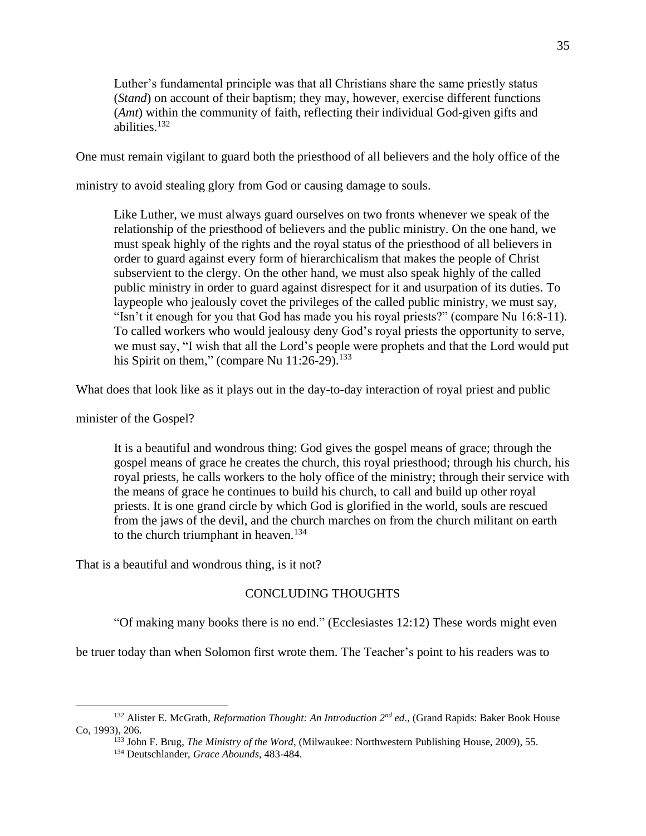Luther's fundamental principle was that all Christians share the same priestly status (*Stand*) on account of their baptism; they may, however, exercise different functions (*Amt*) within the community of faith, reflecting their individual God-given gifts and abilities.<sup>132</sup>

One must remain vigilant to guard both the priesthood of all believers and the holy office of the

ministry to avoid stealing glory from God or causing damage to souls.

Like Luther, we must always guard ourselves on two fronts whenever we speak of the relationship of the priesthood of believers and the public ministry. On the one hand, we must speak highly of the rights and the royal status of the priesthood of all believers in order to guard against every form of hierarchicalism that makes the people of Christ subservient to the clergy. On the other hand, we must also speak highly of the called public ministry in order to guard against disrespect for it and usurpation of its duties. To laypeople who jealously covet the privileges of the called public ministry, we must say, "Isn't it enough for you that God has made you his royal priests?" (compare Nu 16:8-11). To called workers who would jealousy deny God's royal priests the opportunity to serve, we must say, "I wish that all the Lord's people were prophets and that the Lord would put his Spirit on them," (compare Nu  $11:26-29$ ).<sup>133</sup>

What does that look like as it plays out in the day-to-day interaction of royal priest and public

minister of the Gospel?

It is a beautiful and wondrous thing: God gives the gospel means of grace; through the gospel means of grace he creates the church, this royal priesthood; through his church, his royal priests, he calls workers to the holy office of the ministry; through their service with the means of grace he continues to build his church, to call and build up other royal priests. It is one grand circle by which God is glorified in the world, souls are rescued from the jaws of the devil, and the church marches on from the church militant on earth to the church triumphant in heaven. $134$ 

That is a beautiful and wondrous thing, is it not?

## CONCLUDING THOUGHTS

"Of making many books there is no end." (Ecclesiastes 12:12) These words might even

be truer today than when Solomon first wrote them. The Teacher's point to his readers was to

<sup>132</sup> Alister E. McGrath, *Reformation Thought: An Introduction 2nd ed*., (Grand Rapids: Baker Book House Co, 1993), 206.

<sup>133</sup> John F. Brug, *The Ministry of the Word*, (Milwaukee: Northwestern Publishing House, 2009), 55.

<sup>134</sup> Deutschlander, *Grace Abounds*, 483-484.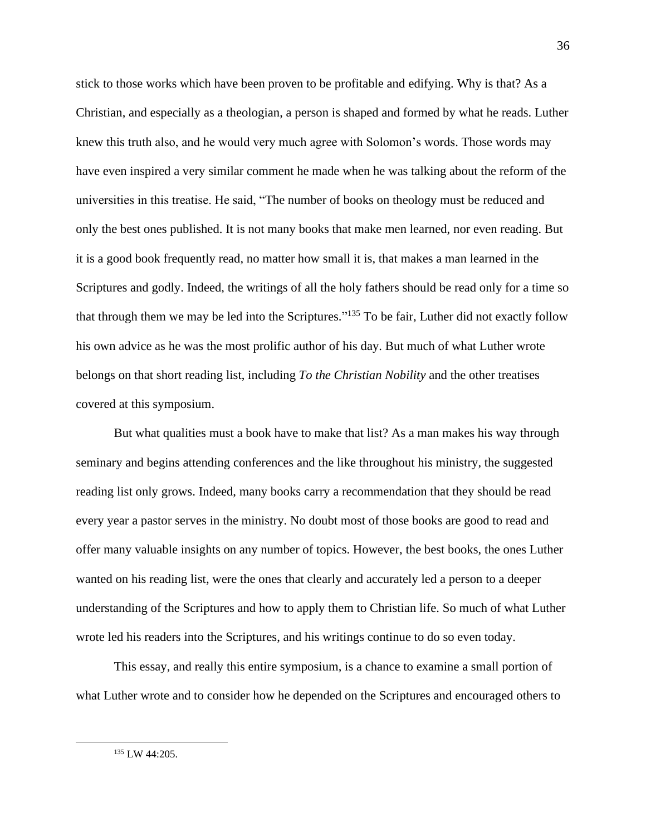stick to those works which have been proven to be profitable and edifying. Why is that? As a Christian, and especially as a theologian, a person is shaped and formed by what he reads. Luther knew this truth also, and he would very much agree with Solomon's words. Those words may have even inspired a very similar comment he made when he was talking about the reform of the universities in this treatise. He said, "The number of books on theology must be reduced and only the best ones published. It is not many books that make men learned, nor even reading. But it is a good book frequently read, no matter how small it is, that makes a man learned in the Scriptures and godly. Indeed, the writings of all the holy fathers should be read only for a time so that through them we may be led into the Scriptures."<sup>135</sup> To be fair, Luther did not exactly follow his own advice as he was the most prolific author of his day. But much of what Luther wrote belongs on that short reading list, including *To the Christian Nobility* and the other treatises covered at this symposium.

But what qualities must a book have to make that list? As a man makes his way through seminary and begins attending conferences and the like throughout his ministry, the suggested reading list only grows. Indeed, many books carry a recommendation that they should be read every year a pastor serves in the ministry. No doubt most of those books are good to read and offer many valuable insights on any number of topics. However, the best books, the ones Luther wanted on his reading list, were the ones that clearly and accurately led a person to a deeper understanding of the Scriptures and how to apply them to Christian life. So much of what Luther wrote led his readers into the Scriptures, and his writings continue to do so even today.

This essay, and really this entire symposium, is a chance to examine a small portion of what Luther wrote and to consider how he depended on the Scriptures and encouraged others to

<sup>135</sup> LW 44:205.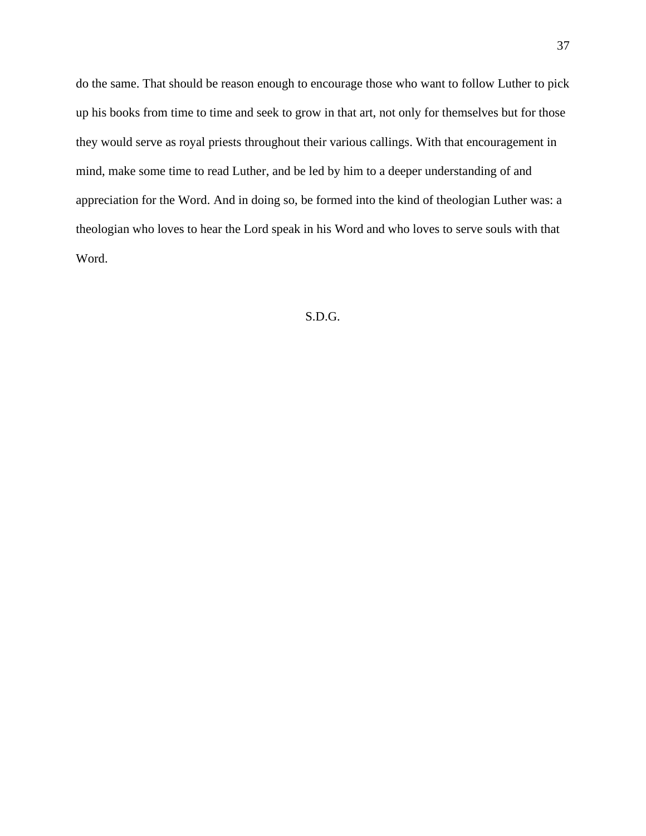do the same. That should be reason enough to encourage those who want to follow Luther to pick up his books from time to time and seek to grow in that art, not only for themselves but for those they would serve as royal priests throughout their various callings. With that encouragement in mind, make some time to read Luther, and be led by him to a deeper understanding of and appreciation for the Word. And in doing so, be formed into the kind of theologian Luther was: a theologian who loves to hear the Lord speak in his Word and who loves to serve souls with that Word.

## S.D.G.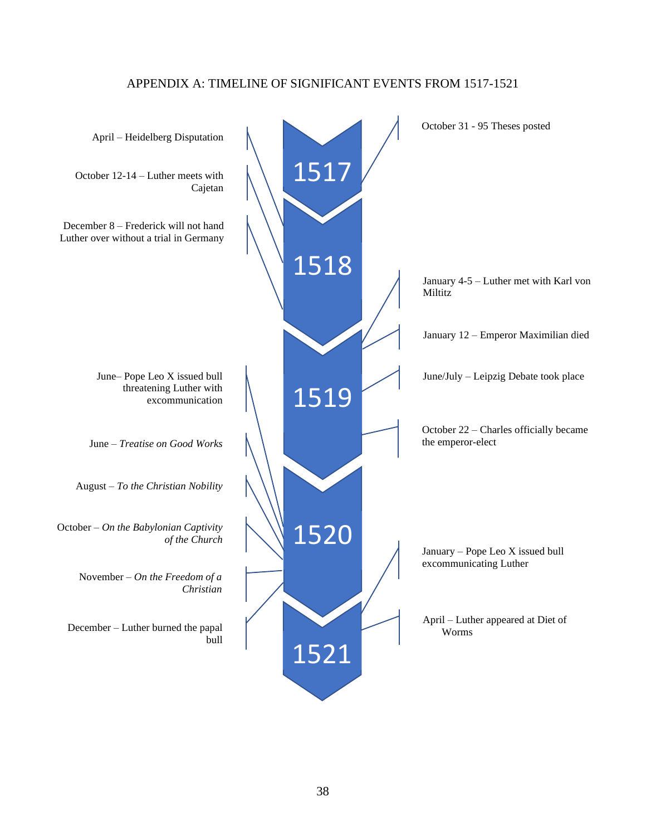## APPENDIX A: TIMELINE OF SIGNIFICANT EVENTS FROM 1517-1521

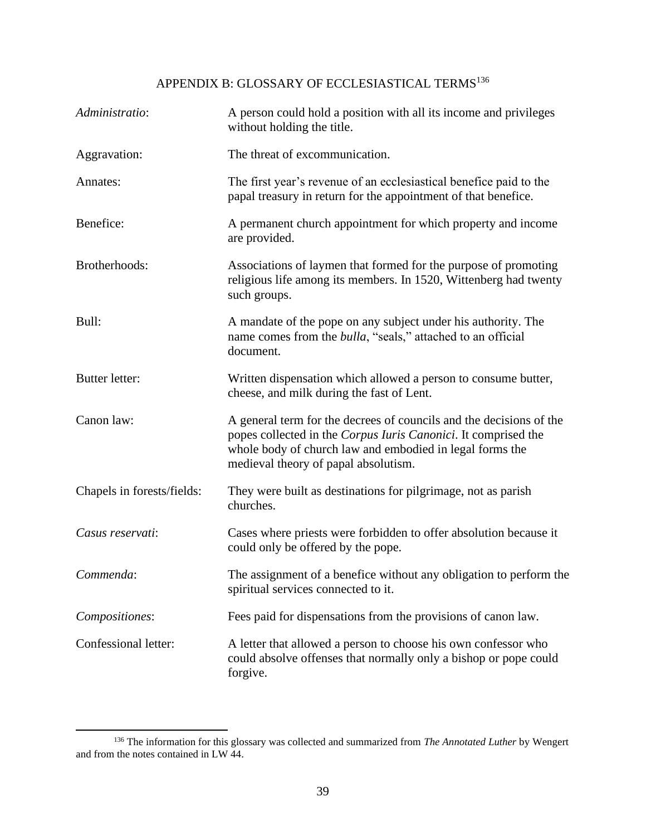# APPENDIX B: GLOSSARY OF ECCLESIASTICAL TERMS  $^{136}$

| Administratio:             | A person could hold a position with all its income and privileges<br>without holding the title.                                                                                                                                           |
|----------------------------|-------------------------------------------------------------------------------------------------------------------------------------------------------------------------------------------------------------------------------------------|
| Aggravation:               | The threat of excommunication.                                                                                                                                                                                                            |
| Annates:                   | The first year's revenue of an ecclesiastical benefice paid to the<br>papal treasury in return for the appointment of that benefice.                                                                                                      |
| Benefice:                  | A permanent church appointment for which property and income<br>are provided.                                                                                                                                                             |
| Brotherhoods:              | Associations of laymen that formed for the purpose of promoting<br>religious life among its members. In 1520, Wittenberg had twenty<br>such groups.                                                                                       |
| Bull:                      | A mandate of the pope on any subject under his authority. The<br>name comes from the <i>bulla</i> , "seals," attached to an official<br>document.                                                                                         |
| Butter letter:             | Written dispensation which allowed a person to consume butter,<br>cheese, and milk during the fast of Lent.                                                                                                                               |
| Canon law:                 | A general term for the decrees of councils and the decisions of the<br>popes collected in the Corpus Iuris Canonici. It comprised the<br>whole body of church law and embodied in legal forms the<br>medieval theory of papal absolutism. |
| Chapels in forests/fields: | They were built as destinations for pilgrimage, not as parish<br>churches.                                                                                                                                                                |
| Casus reservati:           | Cases where priests were forbidden to offer absolution because it<br>could only be offered by the pope.                                                                                                                                   |
| Commenda:                  | The assignment of a benefice without any obligation to perform the<br>spiritual services connected to it.                                                                                                                                 |
| Compositiones:             | Fees paid for dispensations from the provisions of canon law.                                                                                                                                                                             |
| Confessional letter:       | A letter that allowed a person to choose his own confessor who<br>could absolve offenses that normally only a bishop or pope could<br>forgive.                                                                                            |

<sup>136</sup> The information for this glossary was collected and summarized from *The Annotated Luther* by Wengert and from the notes contained in LW 44.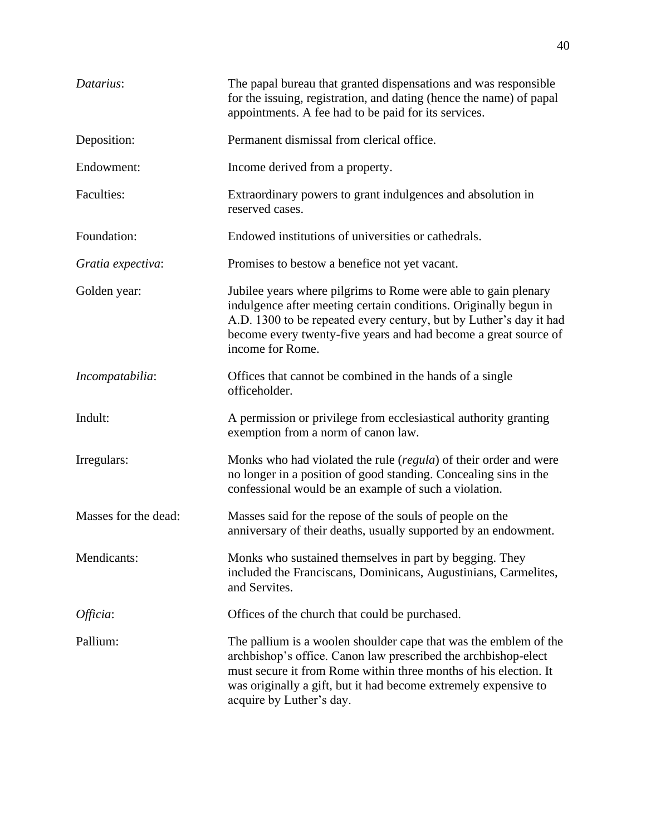| Datarius:            | The papal bureau that granted dispensations and was responsible<br>for the issuing, registration, and dating (hence the name) of papal<br>appointments. A fee had to be paid for its services.                                                                                                        |
|----------------------|-------------------------------------------------------------------------------------------------------------------------------------------------------------------------------------------------------------------------------------------------------------------------------------------------------|
| Deposition:          | Permanent dismissal from clerical office.                                                                                                                                                                                                                                                             |
| Endowment:           | Income derived from a property.                                                                                                                                                                                                                                                                       |
| <b>Faculties:</b>    | Extraordinary powers to grant indulgences and absolution in<br>reserved cases.                                                                                                                                                                                                                        |
| Foundation:          | Endowed institutions of universities or cathedrals.                                                                                                                                                                                                                                                   |
| Gratia expectiva:    | Promises to bestow a benefice not yet vacant.                                                                                                                                                                                                                                                         |
| Golden year:         | Jubilee years where pilgrims to Rome were able to gain plenary<br>indulgence after meeting certain conditions. Originally begun in<br>A.D. 1300 to be repeated every century, but by Luther's day it had<br>become every twenty-five years and had become a great source of<br>income for Rome.       |
| Incompatabilia:      | Offices that cannot be combined in the hands of a single<br>officeholder.                                                                                                                                                                                                                             |
| Indult:              | A permission or privilege from ecclesiastical authority granting<br>exemption from a norm of canon law.                                                                                                                                                                                               |
| Irregulars:          | Monks who had violated the rule ( <i>regula</i> ) of their order and were<br>no longer in a position of good standing. Concealing sins in the<br>confessional would be an example of such a violation.                                                                                                |
| Masses for the dead: | Masses said for the repose of the souls of people on the<br>anniversary of their deaths, usually supported by an endowment.                                                                                                                                                                           |
| Mendicants:          | Monks who sustained themselves in part by begging. They<br>included the Franciscans, Dominicans, Augustinians, Carmelites,<br>and Servites.                                                                                                                                                           |
| Officia:             | Offices of the church that could be purchased.                                                                                                                                                                                                                                                        |
| Pallium:             | The pallium is a woolen shoulder cape that was the emblem of the<br>archbishop's office. Canon law prescribed the archbishop-elect<br>must secure it from Rome within three months of his election. It<br>was originally a gift, but it had become extremely expensive to<br>acquire by Luther's day. |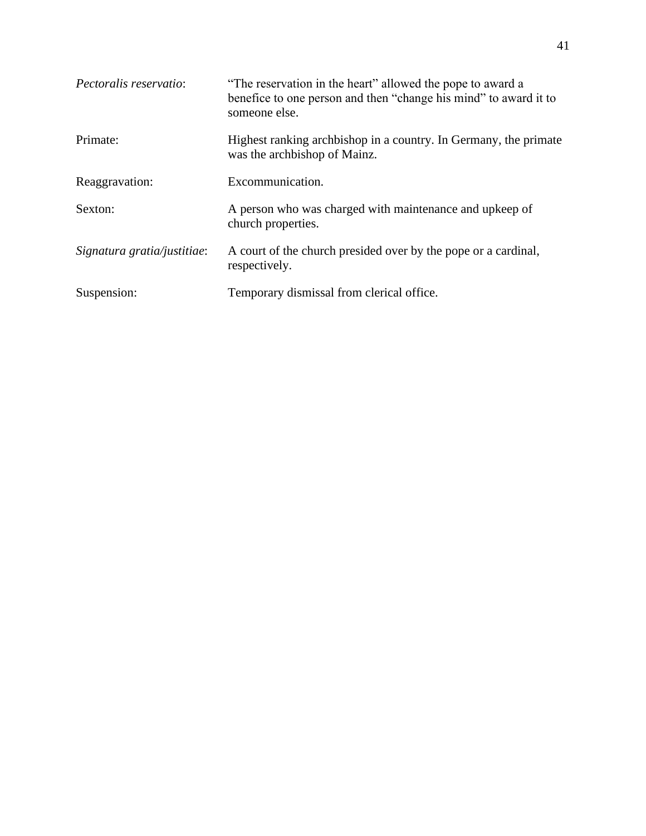| Pectoralis reservatio:      | "The reservation in the heart" allowed the pope to award a<br>benefice to one person and then "change his mind" to award it to<br>someone else. |
|-----------------------------|-------------------------------------------------------------------------------------------------------------------------------------------------|
| Primate:                    | Highest ranking archbishop in a country. In Germany, the primate<br>was the archbishop of Mainz.                                                |
| Reaggravation:              | Excommunication.                                                                                                                                |
| Sexton:                     | A person who was charged with maintenance and upkeep of<br>church properties.                                                                   |
| Signatura gratia/justitiae: | A court of the church presided over by the pope or a cardinal,<br>respectively.                                                                 |
| Suspension:                 | Temporary dismissal from clerical office.                                                                                                       |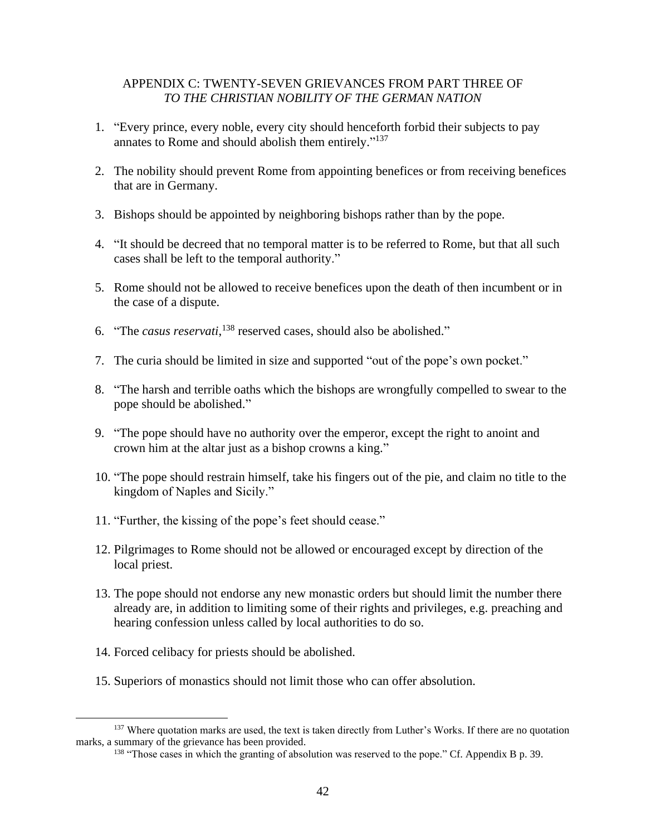## APPENDIX C: TWENTY-SEVEN GRIEVANCES FROM PART THREE OF *TO THE CHRISTIAN NOBILITY OF THE GERMAN NATION*

- 1. "Every prince, every noble, every city should henceforth forbid their subjects to pay annates to Rome and should abolish them entirely."<sup>137</sup>
- 2. The nobility should prevent Rome from appointing benefices or from receiving benefices that are in Germany.
- 3. Bishops should be appointed by neighboring bishops rather than by the pope.
- 4. "It should be decreed that no temporal matter is to be referred to Rome, but that all such cases shall be left to the temporal authority."
- 5. Rome should not be allowed to receive benefices upon the death of then incumbent or in the case of a dispute.
- 6. "The *casus reservati*, <sup>138</sup> reserved cases, should also be abolished."
- 7. The curia should be limited in size and supported "out of the pope's own pocket."
- 8. "The harsh and terrible oaths which the bishops are wrongfully compelled to swear to the pope should be abolished."
- 9. "The pope should have no authority over the emperor, except the right to anoint and crown him at the altar just as a bishop crowns a king."
- 10. "The pope should restrain himself, take his fingers out of the pie, and claim no title to the kingdom of Naples and Sicily."
- 11. "Further, the kissing of the pope's feet should cease."
- 12. Pilgrimages to Rome should not be allowed or encouraged except by direction of the local priest.
- 13. The pope should not endorse any new monastic orders but should limit the number there already are, in addition to limiting some of their rights and privileges, e.g. preaching and hearing confession unless called by local authorities to do so.
- 14. Forced celibacy for priests should be abolished.
- 15. Superiors of monastics should not limit those who can offer absolution.

<sup>&</sup>lt;sup>137</sup> Where quotation marks are used, the text is taken directly from Luther's Works. If there are no quotation marks, a summary of the grievance has been provided.

<sup>&</sup>lt;sup>138</sup> "Those cases in which the granting of absolution was reserved to the pope." Cf. Appendix B p. 39.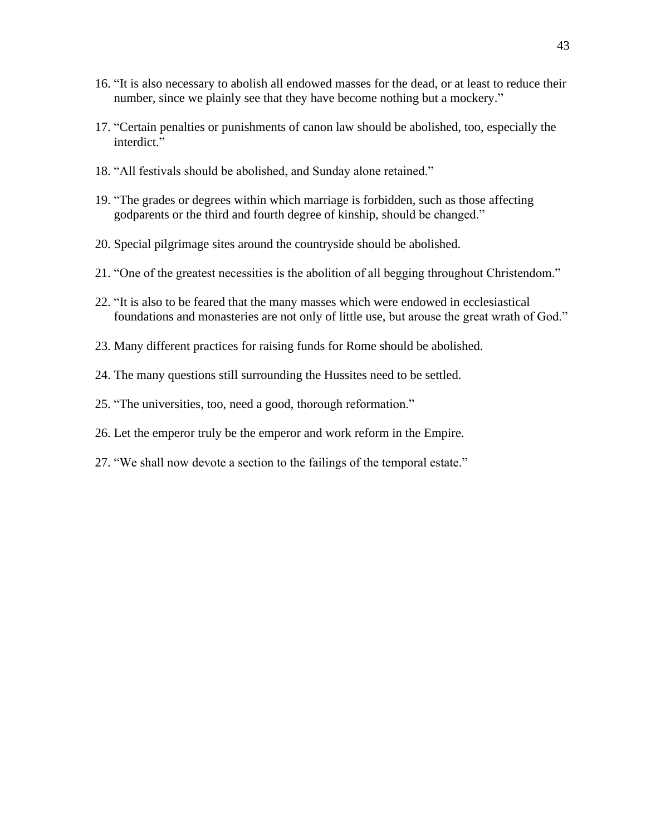- 16. "It is also necessary to abolish all endowed masses for the dead, or at least to reduce their number, since we plainly see that they have become nothing but a mockery."
- 17. "Certain penalties or punishments of canon law should be abolished, too, especially the interdict."
- 18. "All festivals should be abolished, and Sunday alone retained."
- 19. "The grades or degrees within which marriage is forbidden, such as those affecting godparents or the third and fourth degree of kinship, should be changed."
- 20. Special pilgrimage sites around the countryside should be abolished.
- 21. "One of the greatest necessities is the abolition of all begging throughout Christendom."
- 22. "It is also to be feared that the many masses which were endowed in ecclesiastical foundations and monasteries are not only of little use, but arouse the great wrath of God."
- 23. Many different practices for raising funds for Rome should be abolished.
- 24. The many questions still surrounding the Hussites need to be settled.
- 25. "The universities, too, need a good, thorough reformation."
- 26. Let the emperor truly be the emperor and work reform in the Empire.
- 27. "We shall now devote a section to the failings of the temporal estate."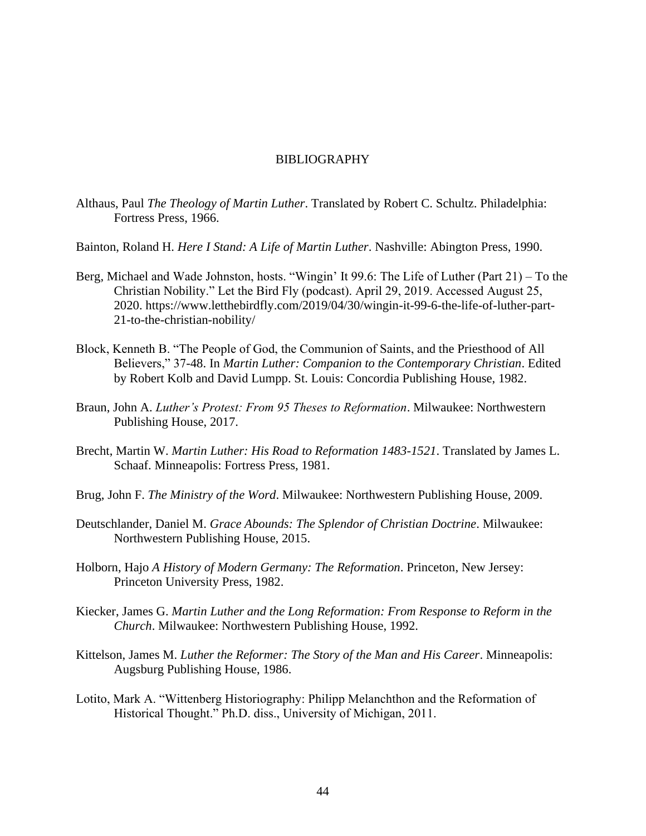## BIBLIOGRAPHY

- Althaus, Paul *The Theology of Martin Luther*. Translated by Robert C. Schultz. Philadelphia: Fortress Press, 1966.
- Bainton, Roland H. *Here I Stand: A Life of Martin Luther*. Nashville: Abington Press, 1990.
- Berg, Michael and Wade Johnston, hosts. ["Wingin' It 99.6: The Life of Luther \(Part 21\) –](https://www.iheart.com/podcast/257-let-the-bird-fly-31157275/episode/wingin-it-996-the-life-of-52524643/) To the [Christian Nobility.](https://www.iheart.com/podcast/257-let-the-bird-fly-31157275/episode/wingin-it-996-the-life-of-52524643/)" Let the Bird Fly (podcast). April 29, 2019. Accessed August 25, 2020. [https://www.letthebirdfly.com/2019/04/30/wingin-it-99-6-the-life-of-luther-part-](https://www.letthebirdfly.com/2019/04/30/wingin-it-99-6-the-life-of-luther-part-21-to-the-christian-nobility/)[21-to-the-christian-nobility/](https://www.letthebirdfly.com/2019/04/30/wingin-it-99-6-the-life-of-luther-part-21-to-the-christian-nobility/)
- Block, Kenneth B. "The People of God, the Communion of Saints, and the Priesthood of All Believers," 37-48. In *Martin Luther: Companion to the Contemporary Christian*. Edited by Robert Kolb and David Lumpp. St. Louis: Concordia Publishing House, 1982.
- Braun, John A. *Luther's Protest: From 95 Theses to Reformation*. Milwaukee: Northwestern Publishing House, 2017.
- Brecht, Martin W. *Martin Luther: His Road to Reformation 1483-1521*. Translated by James L. Schaaf. Minneapolis: Fortress Press, 1981.
- Brug, John F. *The Ministry of the Word*. Milwaukee: Northwestern Publishing House, 2009.
- Deutschlander, Daniel M. *Grace Abounds: The Splendor of Christian Doctrine*. Milwaukee: Northwestern Publishing House, 2015.
- Holborn, Hajo *A History of Modern Germany: The Reformation*. Princeton, New Jersey: Princeton University Press, 1982.
- Kiecker, James G. *Martin Luther and the Long Reformation: From Response to Reform in the Church*. Milwaukee: Northwestern Publishing House, 1992.
- Kittelson, James M. *Luther the Reformer: The Story of the Man and His Career*. Minneapolis: Augsburg Publishing House, 1986.
- Lotito, Mark A. "Wittenberg Historiography: Philipp Melanchthon and the Reformation of Historical Thought." Ph.D. diss., University of Michigan, 2011.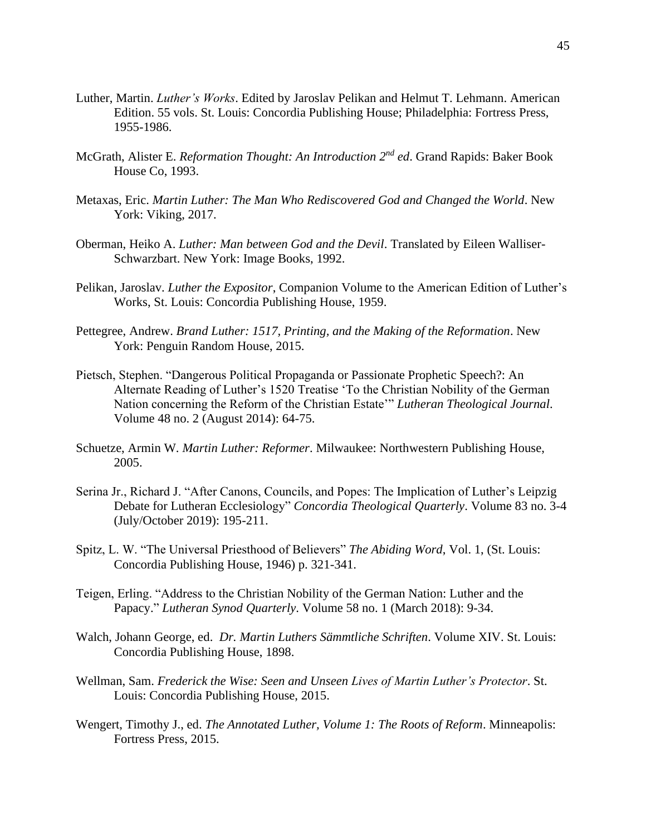- Luther, Martin. *Luther's Works*. Edited by Jaroslav Pelikan and Helmut T. Lehmann. American Edition. 55 vols. St. Louis: Concordia Publishing House; Philadelphia: Fortress Press, 1955-1986.
- McGrath, Alister E. *Reformation Thought: An Introduction 2nd ed*. Grand Rapids: Baker Book House Co, 1993.
- Metaxas, Eric. *Martin Luther: The Man Who Rediscovered God and Changed the World*. New York: Viking, 2017.
- Oberman, Heiko A. *Luther: Man between God and the Devil*. Translated by Eileen Walliser-Schwarzbart. New York: Image Books, 1992.
- Pelikan, Jaroslav. *Luther the Expositor*, Companion Volume to the American Edition of Luther's Works, St. Louis: Concordia Publishing House, 1959.
- Pettegree, Andrew. *Brand Luther: 1517, Printing, and the Making of the Reformation*. New York: Penguin Random House, 2015.
- Pietsch, Stephen. "Dangerous Political Propaganda or Passionate Prophetic Speech?: An Alternate Reading of Luther's 1520 Treatise 'To the Christian Nobility of the German Nation concerning the Reform of the Christian Estate'" *Lutheran Theological Journal*. Volume 48 no. 2 (August 2014): 64-75.
- Schuetze, Armin W. *Martin Luther: Reformer*. Milwaukee: Northwestern Publishing House, 2005.
- Serina Jr., Richard J. "After Canons, Councils, and Popes: The Implication of Luther's Leipzig Debate for Lutheran Ecclesiology" *Concordia Theological Quarterly*. Volume 83 no. 3-4 (July/October 2019): 195-211.
- Spitz, L. W. "The Universal Priesthood of Believers" *The Abiding Word*, Vol. 1, (St. Louis: Concordia Publishing House, 1946) p. 321-341.
- Teigen, Erling. "Address to the Christian Nobility of the German Nation: Luther and the Papacy." *Lutheran Synod Quarterly*. Volume 58 no. 1 (March 2018): 9-34.
- Walch, Johann George, ed. *Dr. Martin Luthers Sämmtliche Schriften*. Volume XIV. St. Louis: Concordia Publishing House, 1898.
- Wellman, Sam. *Frederick the Wise: Seen and Unseen Lives of Martin Luther's Protector*. St. Louis: Concordia Publishing House, 2015.
- Wengert, Timothy J., ed. *The Annotated Luther, Volume 1: The Roots of Reform*. Minneapolis: Fortress Press, 2015.